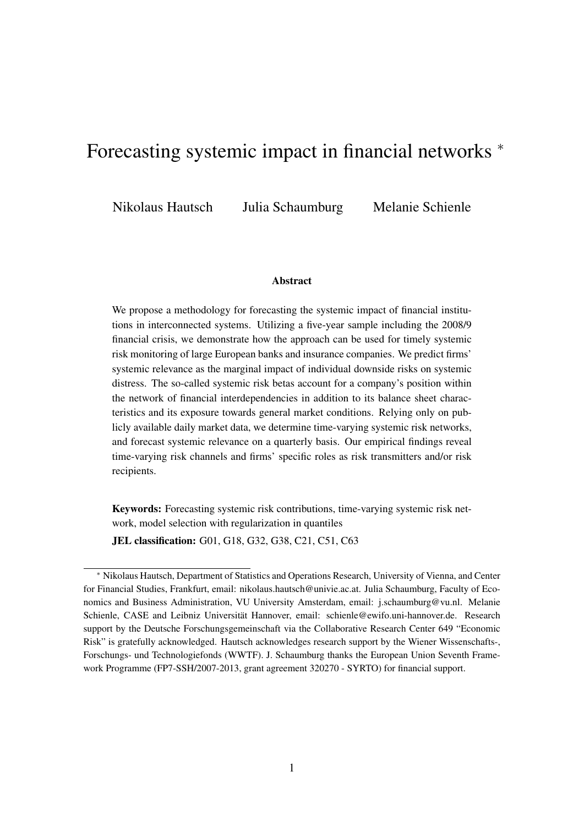# <span id="page-0-0"></span>Forecasting systemic impact in financial networks  $*$

Nikolaus Hautsch Julia Schaumburg Melanie Schienle

#### Abstract

We propose a methodology for forecasting the systemic impact of financial institutions in interconnected systems. Utilizing a five-year sample including the 2008/9 financial crisis, we demonstrate how the approach can be used for timely systemic risk monitoring of large European banks and insurance companies. We predict firms' systemic relevance as the marginal impact of individual downside risks on systemic distress. The so-called systemic risk betas account for a company's position within the network of financial interdependencies in addition to its balance sheet characteristics and its exposure towards general market conditions. Relying only on publicly available daily market data, we determine time-varying systemic risk networks, and forecast systemic relevance on a quarterly basis. Our empirical findings reveal time-varying risk channels and firms' specific roles as risk transmitters and/or risk recipients.

Keywords: Forecasting systemic risk contributions, time-varying systemic risk network, model selection with regularization in quantiles

JEL classification: G01, G18, G32, G38, C21, C51, C63

<sup>⇤</sup> Nikolaus Hautsch, Department of Statistics and Operations Research, University of Vienna, and Center for Financial Studies, Frankfurt, email: nikolaus.hautsch@univie.ac.at. Julia Schaumburg, Faculty of Economics and Business Administration, VU University Amsterdam, email: j.schaumburg@vu.nl. Melanie Schienle, CASE and Leibniz Universität Hannover, email: schienle@ewifo.uni-hannover.de. Research support by the Deutsche Forschungsgemeinschaft via the Collaborative Research Center 649 "Economic Risk" is gratefully acknowledged. Hautsch acknowledges research support by the Wiener Wissenschafts-, Forschungs- und Technologiefonds (WWTF). J. Schaumburg thanks the European Union Seventh Framework Programme (FP7-SSH/2007-2013, grant agreement 320270 - SYRTO) for financial support.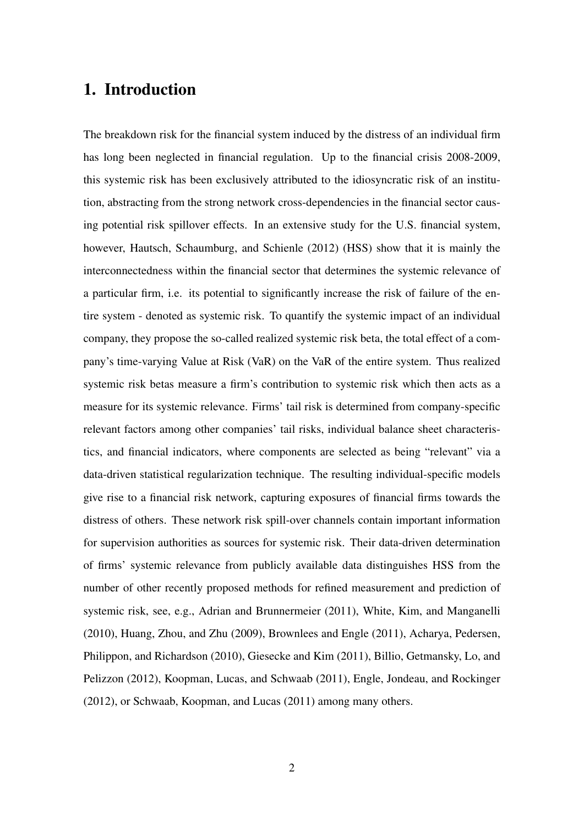### 1. Introduction

The breakdown risk for the financial system induced by the distress of an individual firm has long been neglected in financial regulation. Up to the financial crisis 2008-2009, this systemic risk has been exclusively attributed to the idiosyncratic risk of an institution, abstracting from the strong network cross-dependencies in the financial sector causing potential risk spillover effects. In an extensive study for the U.S. financial system, however, Hautsch, Schaumburg, and Schienle (2012) (HSS) show that it is mainly the interconnectedness within the financial sector that determines the systemic relevance of a particular firm, i.e. its potential to significantly increase the risk of failure of the entire system - denoted as systemic risk. To quantify the systemic impact of an individual company, they propose the so-called realized systemic risk beta, the total effect of a company's time-varying Value at Risk (VaR) on the VaR of the entire system. Thus realized systemic risk betas measure a firm's contribution to systemic risk which then acts as a measure for its systemic relevance. Firms' tail risk is determined from company-specific relevant factors among other companies' tail risks, individual balance sheet characteristics, and financial indicators, where components are selected as being "relevant" via a data-driven statistical regularization technique. The resulting individual-specific models give rise to a financial risk network, capturing exposures of financial firms towards the distress of others. These network risk spill-over channels contain important information for supervision authorities as sources for systemic risk. Their data-driven determination of firms' systemic relevance from publicly available data distinguishes HSS from the number of other recently proposed methods for refined measurement and prediction of systemic risk, see, e.g., Adrian and Brunnermeier (2011), White, Kim, and Manganelli (2010), Huang, Zhou, and Zhu (2009), Brownlees and Engle (2011), Acharya, Pedersen, Philippon, and Richardson (2010), Giesecke and Kim (2011), Billio, Getmansky, Lo, and Pelizzon (2012), Koopman, Lucas, and Schwaab (2011), Engle, Jondeau, and Rockinger (2012), or Schwaab, Koopman, and Lucas (2011) among many others.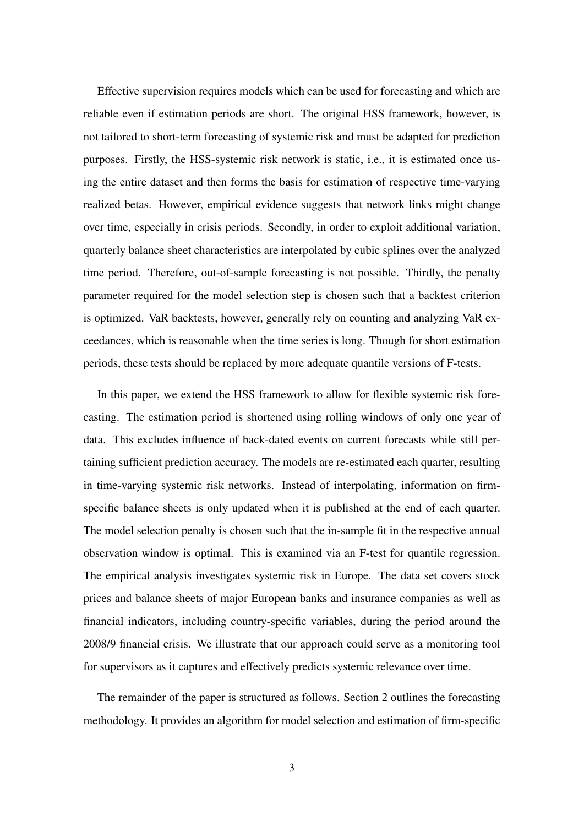Effective supervision requires models which can be used for forecasting and which are reliable even if estimation periods are short. The original HSS framework, however, is not tailored to short-term forecasting of systemic risk and must be adapted for prediction purposes. Firstly, the HSS-systemic risk network is static, i.e., it is estimated once using the entire dataset and then forms the basis for estimation of respective time-varying realized betas. However, empirical evidence suggests that network links might change over time, especially in crisis periods. Secondly, in order to exploit additional variation, quarterly balance sheet characteristics are interpolated by cubic splines over the analyzed time period. Therefore, out-of-sample forecasting is not possible. Thirdly, the penalty parameter required for the model selection step is chosen such that a backtest criterion is optimized. VaR backtests, however, generally rely on counting and analyzing VaR exceedances, which is reasonable when the time series is long. Though for short estimation periods, these tests should be replaced by more adequate quantile versions of F-tests.

In this paper, we extend the HSS framework to allow for flexible systemic risk forecasting. The estimation period is shortened using rolling windows of only one year of data. This excludes influence of back-dated events on current forecasts while still pertaining sufficient prediction accuracy. The models are re-estimated each quarter, resulting in time-varying systemic risk networks. Instead of interpolating, information on firmspecific balance sheets is only updated when it is published at the end of each quarter. The model selection penalty is chosen such that the in-sample fit in the respective annual observation window is optimal. This is examined via an F-test for quantile regression. The empirical analysis investigates systemic risk in Europe. The data set covers stock prices and balance sheets of major European banks and insurance companies as well as financial indicators, including country-specific variables, during the period around the 2008/9 financial crisis. We illustrate that our approach could serve as a monitoring tool for supervisors as it captures and effectively predicts systemic relevance over time.

The remainder of the paper is structured as follows. Section [2](#page-3-0) outlines the forecasting methodology. It provides an algorithm for model selection and estimation of firm-specific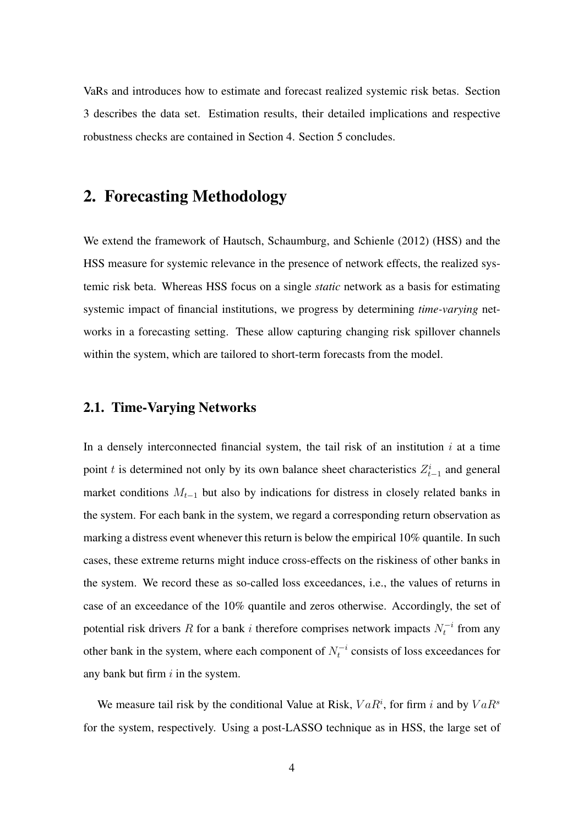VaRs and introduces how to estimate and forecast realized systemic risk betas. Section [3](#page-8-0) describes the data set. Estimation results, their detailed implications and respective robustness checks are contained in Section [4.](#page-9-0) Section [5](#page-18-0) concludes.

# <span id="page-3-0"></span>2. Forecasting Methodology

We extend the framework of Hautsch, Schaumburg, and Schienle (2012) (HSS) and the HSS measure for systemic relevance in the presence of network effects, the realized systemic risk beta. Whereas HSS focus on a single *static* network as a basis for estimating systemic impact of financial institutions, we progress by determining *time-varying* networks in a forecasting setting. These allow capturing changing risk spillover channels within the system, which are tailored to short-term forecasts from the model.

### 2.1. Time-Varying Networks

In a densely interconnected financial system, the tail risk of an institution  $i$  at a time point *t* is determined not only by its own balance sheet characteristics  $Z_{t-1}^i$  and general market conditions  $M_{t-1}$  but also by indications for distress in closely related banks in the system. For each bank in the system, we regard a corresponding return observation as marking a distress event whenever this return is below the empirical 10% quantile. In such cases, these extreme returns might induce cross-effects on the riskiness of other banks in the system. We record these as so-called loss exceedances, i.e., the values of returns in case of an exceedance of the 10% quantile and zeros otherwise. Accordingly, the set of potential risk drivers *R* for a bank *i* therefore comprises network impacts  $N_t^{-i}$  from any other bank in the system, where each component of  $N_t^{-i}$  consists of loss exceedances for any bank but firm *i* in the system.

We measure tail risk by the conditional Value at Risk,  $VaR<sup>i</sup>$ , for firm *i* and by  $VaR<sup>s</sup>$ for the system, respectively. Using a post-LASSO technique as in HSS, the large set of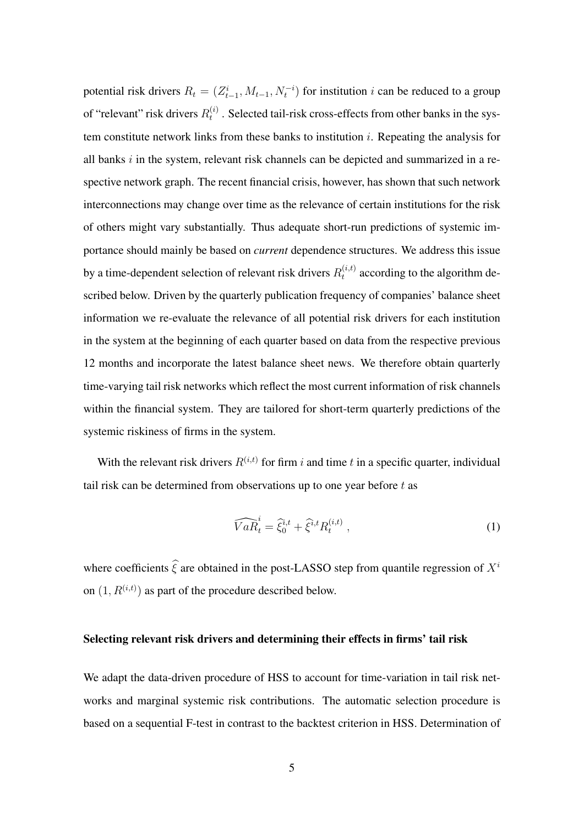potential risk drivers  $R_t = (Z_{t-1}^i, M_{t-1}, N_t^{-i})$  for institution *i* can be reduced to a group of "relevant" risk drivers  $R_t^{(i)}$ . Selected tail-risk cross-effects from other banks in the system constitute network links from these banks to institution *i*. Repeating the analysis for all banks *i* in the system, relevant risk channels can be depicted and summarized in a respective network graph. The recent financial crisis, however, has shown that such network interconnections may change over time as the relevance of certain institutions for the risk of others might vary substantially. Thus adequate short-run predictions of systemic importance should mainly be based on *current* dependence structures. We address this issue by a time-dependent selection of relevant risk drivers  $R_t^{(i,t)}$  according to the algorithm described below. Driven by the quarterly publication frequency of companies' balance sheet information we re-evaluate the relevance of all potential risk drivers for each institution in the system at the beginning of each quarter based on data from the respective previous 12 months and incorporate the latest balance sheet news. We therefore obtain quarterly time-varying tail risk networks which reflect the most current information of risk channels within the financial system. They are tailored for short-term quarterly predictions of the systemic riskiness of firms in the system.

With the relevant risk drivers  $R^{(i,t)}$  for firm *i* and time *t* in a specific quarter, individual tail risk can be determined from observations up to one year before *t* as

$$
\widehat{VaR}_t^i = \widehat{\xi}_0^{i,t} + \widehat{\xi}^{i,t} R_t^{(i,t)}, \qquad (1)
$$

where coefficients  $\hat{\xi}$  are obtained in the post-LASSO step from quantile regression of  $X^i$ on  $(1, R^{(i,t)})$  as part of the procedure described below.

#### Selecting relevant risk drivers and determining their effects in firms' tail risk

We adapt the data-driven procedure of HSS to account for time-variation in tail risk networks and marginal systemic risk contributions. The automatic selection procedure is based on a sequential F-test in contrast to the backtest criterion in HSS. Determination of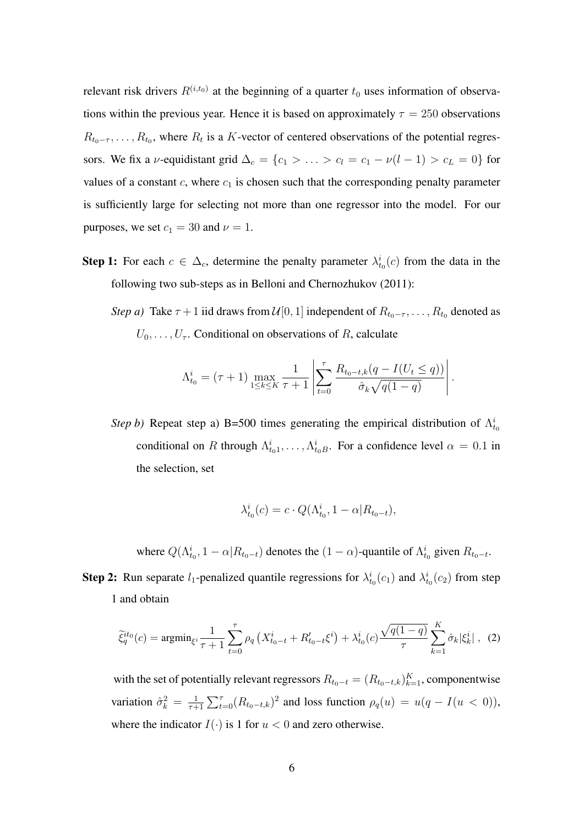relevant risk drivers  $R^{(i,t_0)}$  at the beginning of a quarter  $t_0$  uses information of observations within the previous year. Hence it is based on approximately  $\tau = 250$  observations  $R_{t_0-\tau}, \ldots, R_{t_0}$ , where  $R_t$  is a *K*-vector of centered observations of the potential regressors. We fix a *v*-equidistant grid  $\Delta_c = \{c_1 > \ldots > c_l = c_1 - \nu(l-1) > c_L = 0\}$  for values of a constant  $c$ , where  $c_1$  is chosen such that the corresponding penalty parameter is sufficiently large for selecting not more than one regressor into the model. For our purposes, we set  $c_1 = 30$  and  $\nu = 1$ .

**Step 1:** For each  $c \in \Delta_c$ , determine the penalty parameter  $\lambda_{t_0}^i(c)$  from the data in the following two sub-steps as in Belloni and Chernozhukov (2011):

*Step a)* Take  $\tau + 1$  iid draws from  $\mathcal{U}[0, 1]$  independent of  $R_{t_0-\tau}, \ldots, R_{t_0}$  denoted as  $U_0, \ldots, U_{\tau}$ . Conditional on observations of *R*, calculate

$$
\Lambda_{t_0}^i = (\tau + 1) \max_{1 \le k \le K} \frac{1}{\tau + 1} \left| \sum_{t=0}^{\tau} \frac{R_{t_0 - t, k} (q - I(U_t \le q))}{\hat{\sigma}_k \sqrt{q(1 - q)}} \right|.
$$

*Step b)* Repeat step a) B=500 times generating the empirical distribution of  $\Lambda_{t_0}^i$ conditional on *R* through  $\Lambda_{t_0}^i$ , ...,  $\Lambda_{t_0}^i$ . For a confidence level  $\alpha = 0.1$  in the selection, set

$$
\lambda_{t_0}^i(c) = c \cdot Q(\Lambda_{t_0}^i, 1 - \alpha | R_{t_0 - t}),
$$

<span id="page-5-0"></span>where  $Q(\Lambda_{t_0}^i, 1 - \alpha | R_{t_0 - t})$  denotes the  $(1 - \alpha)$ -quantile of  $\Lambda_{t_0}^i$  given  $R_{t_0 - t}$ .

**Step 2:** Run separate  $l_1$ -penalized quantile regressions for  $\lambda_{t_0}^i(c_1)$  and  $\lambda_{t_0}^i(c_2)$  from step 1 and obtain

$$
\tilde{\xi}_q^{it_0}(c) = \operatorname{argmin}_{\xi^i} \frac{1}{\tau + 1} \sum_{t=0}^{\tau} \rho_q \left( X_{t_0 - t}^i + R_{t_0 - t}' \xi^i \right) + \lambda_{t_0}^i(c) \frac{\sqrt{q(1-q)}}{\tau} \sum_{k=1}^K \hat{\sigma}_k |\xi_k^i| \;, \tag{2}
$$

with the set of potentially relevant regressors  $R_{t_0-t} = (R_{t_0-t,k})_{k=1}^K$ , componentwise variation  $\hat{\sigma}_k^2 = \frac{1}{\tau+1} \sum_{t=0}^{\tau} (R_{t_0-t,k})^2$  and loss function  $\rho_q(u) = u(q - I(u < 0)),$ where the indicator  $I(\cdot)$  is 1 for  $u < 0$  and zero otherwise.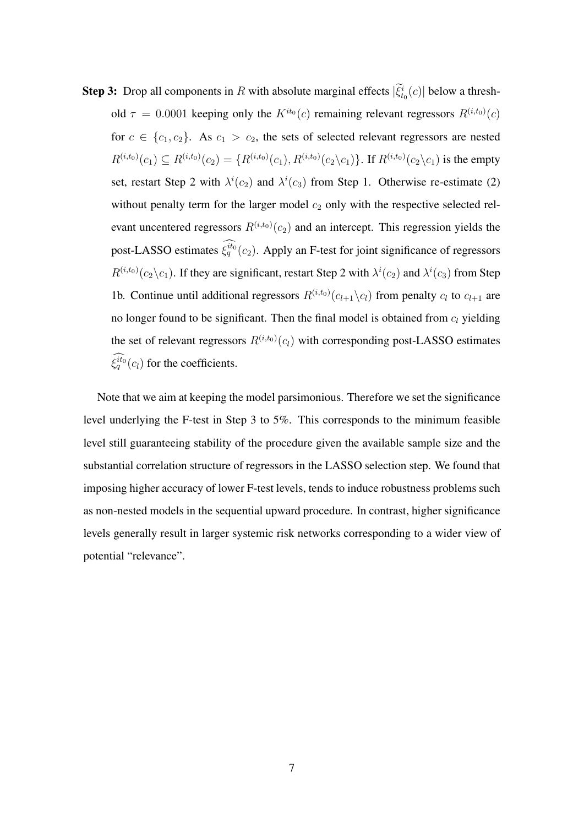**Step 3:** Drop all components in *R* with absolute marginal effects  $|\xi_{t_0}^i(c)|$  below a threshold  $\tau = 0.0001$  keeping only the  $K^{it_0}(c)$  remaining relevant regressors  $R^{(i,t_0)}(c)$ for  $c \in \{c_1, c_2\}$ . As  $c_1 > c_2$ , the sets of selected relevant regressors are nested  $R^{(i,t_0)}(c_1) \subseteq R^{(i,t_0)}(c_2) = \{R^{(i,t_0)}(c_1), R^{(i,t_0)}(c_2 \backslash c_1)\}\.$  If  $R^{(i,t_0)}(c_2 \backslash c_1)$  is the empty set, restart Step 2 with  $\lambda^{i}(c_2)$  and  $\lambda^{i}(c_3)$  from Step 1. Otherwise re-estimate [\(2\)](#page-5-0) without penalty term for the larger model  $c_2$  only with the respective selected relevant uncentered regressors  $R^{(i,t_0)}(c_2)$  and an intercept. This regression yields the post-LASSO estimates  $\xi_q^{it_0}(c_2)$ . Apply an F-test for joint significance of regressors  $R^{(i,t_0)}(c_2\backslash c_1)$ . If they are significant, restart Step 2 with  $\lambda^i(c_2)$  and  $\lambda^i(c_3)$  from Step 1b. Continue until additional regressors  $R^{(i,t_0)}(c_{l+1} \setminus c_l)$  from penalty  $c_l$  to  $c_{l+1}$  are no longer found to be significant. Then the final model is obtained from *c<sup>l</sup>* yielding the set of relevant regressors  $R^{(i,t_0)}(c_i)$  with corresponding post-LASSO estimates  $\xi_q^{it_0}(c_l)$  for the coefficients.

Note that we aim at keeping the model parsimonious. Therefore we set the significance level underlying the F-test in Step 3 to 5%. This corresponds to the minimum feasible level still guaranteeing stability of the procedure given the available sample size and the substantial correlation structure of regressors in the LASSO selection step. We found that imposing higher accuracy of lower F-test levels, tends to induce robustness problems such as non-nested models in the sequential upward procedure. In contrast, higher significance levels generally result in larger systemic risk networks corresponding to a wider view of potential "relevance".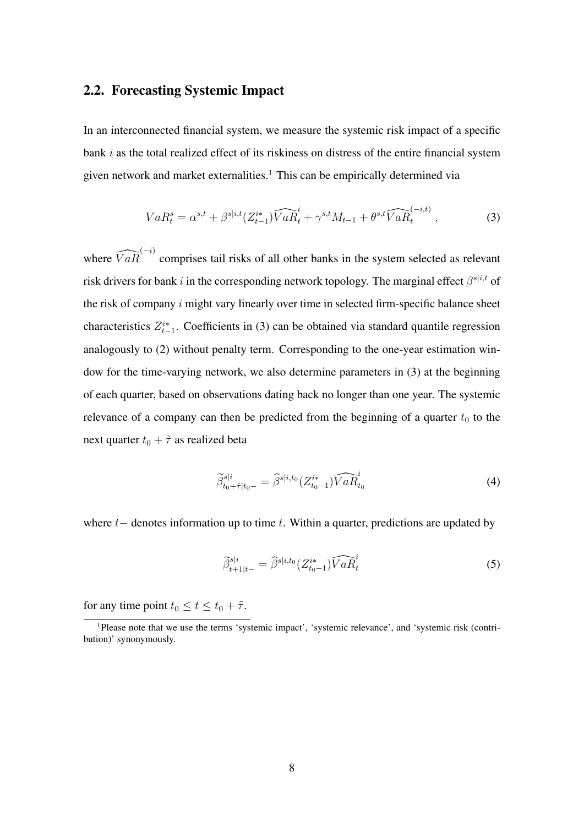### 2.2. Forecasting Systemic Impact

In an interconnected financial system, we measure the systemic risk impact of a specific bank *i* as the total realized effect of its riskiness on distress of the entire financial system given network and market externalities.<sup>1</sup> This can be empirically determined via

<span id="page-7-0"></span>
$$
VaR_t^s = \alpha^{s,t} + \beta^{s|i,t}(Z_{t-1}^{i*})\widehat{VaR_t^i} + \gamma^{s,t}M_{t-1} + \theta^{s,t}\widehat{VaR_t^{(-i,t)}},
$$
\n(3)

where  $\widehat{VaR}^{(-i)}$  comprises tail risks of all other banks in the system selected as relevant risk drivers for bank *i* in the corresponding network topology. The marginal effect  $\beta^{s|i,t}$  of the risk of company *i* might vary linearly over time in selected firm-specific balance sheet characteristics  $Z_{t-1}^{i*}$ . Coefficients in [\(3\)](#page-7-0) can be obtained via standard quantile regression analogously to [\(2\)](#page-5-0) without penalty term. Corresponding to the one-year estimation window for the time-varying network, we also determine parameters in [\(3\)](#page-7-0) at the beginning of each quarter, based on observations dating back no longer than one year. The systemic relevance of a company can then be predicted from the beginning of a quarter  $t_0$  to the next quarter  $t_0 + \tilde{\tau}$  as realized beta

<span id="page-7-1"></span>
$$
\widetilde{\beta}_{t_0+\tilde{\tau}|t_0-}^{s|i} = \widehat{\beta}^{s|i,t_0}(Z_{t_0-1}^{i*})\widehat{VaR}_{t_0}^i
$$
\n(4)

where  $t$  denotes information up to time  $t$ . Within a quarter, predictions are updated by

$$
\widetilde{\beta}_{t+1|t-}^{s|i} = \widehat{\beta}^{s|i,t_0} (Z_{t_0-1}^{i*}) \widehat{VaR}_t^i
$$
\n(5)

for any time point  $t_0 \le t \le t_0 + \tilde{\tau}$ .

<sup>&</sup>lt;sup>1</sup>Please note that we use the terms 'systemic impact', 'systemic relevance', and 'systemic risk (contribution)' synonymously.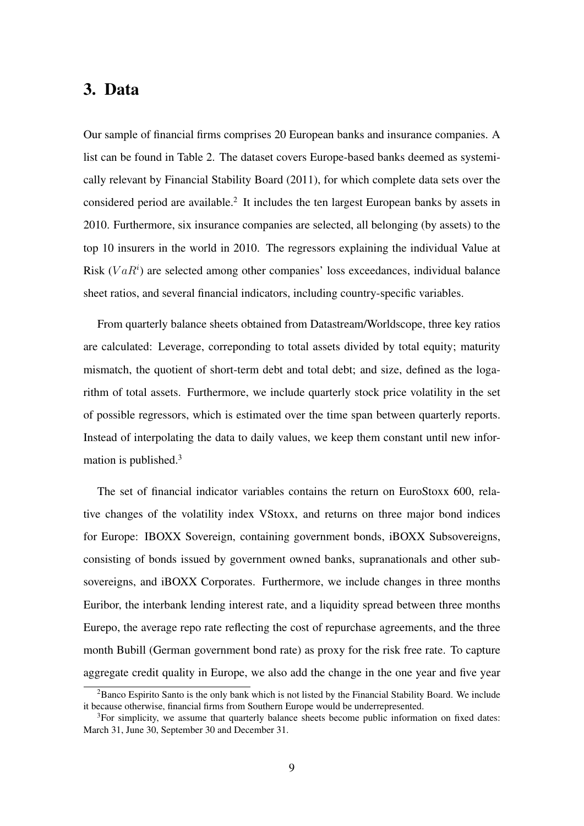### <span id="page-8-0"></span>3. Data

Our sample of financial firms comprises 20 European banks and insurance companies. A list can be found in Table [2.](#page-20-0) The dataset covers Europe-based banks deemed as systemically relevant by Financial Stability Board (2011), for which complete data sets over the considered period are available.[2](#page-0-0) It includes the ten largest European banks by assets in 2010. Furthermore, six insurance companies are selected, all belonging (by assets) to the top 10 insurers in the world in 2010. The regressors explaining the individual Value at Risk (*V aR<sup>i</sup>* ) are selected among other companies' loss exceedances, individual balance sheet ratios, and several financial indicators, including country-specific variables.

From quarterly balance sheets obtained from Datastream/Worldscope, three key ratios are calculated: Leverage, correponding to total assets divided by total equity; maturity mismatch, the quotient of short-term debt and total debt; and size, defined as the logarithm of total assets. Furthermore, we include quarterly stock price volatility in the set of possible regressors, which is estimated over the time span between quarterly reports. Instead of interpolating the data to daily values, we keep them constant until new information is published[.3](#page-0-0)

The set of financial indicator variables contains the return on EuroStoxx 600, relative changes of the volatility index VStoxx, and returns on three major bond indices for Europe: IBOXX Sovereign, containing government bonds, iBOXX Subsovereigns, consisting of bonds issued by government owned banks, supranationals and other subsovereigns, and iBOXX Corporates. Furthermore, we include changes in three months Euribor, the interbank lending interest rate, and a liquidity spread between three months Eurepo, the average repo rate reflecting the cost of repurchase agreements, and the three month Bubill (German government bond rate) as proxy for the risk free rate. To capture aggregate credit quality in Europe, we also add the change in the one year and five year

<sup>&</sup>lt;sup>2</sup>Banco Espirito Santo is the only bank which is not listed by the Financial Stability Board. We include it because otherwise, financial firms from Southern Europe would be underrepresented.

 $3$ For simplicity, we assume that quarterly balance sheets become public information on fixed dates: March 31, June 30, September 30 and December 31.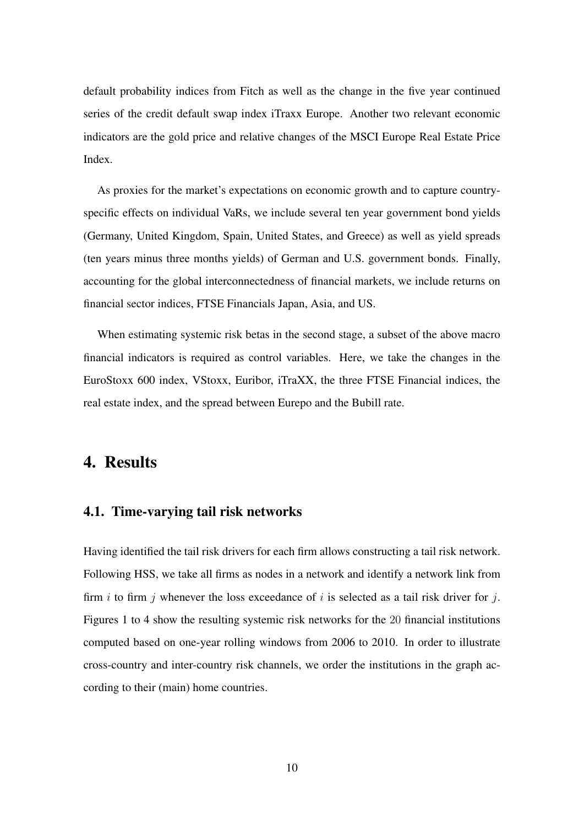default probability indices from Fitch as well as the change in the five year continued series of the credit default swap index iTraxx Europe. Another two relevant economic indicators are the gold price and relative changes of the MSCI Europe Real Estate Price Index.

As proxies for the market's expectations on economic growth and to capture countryspecific effects on individual VaRs, we include several ten year government bond yields (Germany, United Kingdom, Spain, United States, and Greece) as well as yield spreads (ten years minus three months yields) of German and U.S. government bonds. Finally, accounting for the global interconnectedness of financial markets, we include returns on financial sector indices, FTSE Financials Japan, Asia, and US.

When estimating systemic risk betas in the second stage, a subset of the above macro financial indicators is required as control variables. Here, we take the changes in the EuroStoxx 600 index, VStoxx, Euribor, iTraXX, the three FTSE Financial indices, the real estate index, and the spread between Eurepo and the Bubill rate.

## <span id="page-9-0"></span>4. Results

### 4.1. Time-varying tail risk networks

Having identified the tail risk drivers for each firm allows constructing a tail risk network. Following HSS, we take all firms as nodes in a network and identify a network link from firm *i* to firm *j* whenever the loss exceedance of *i* is selected as a tail risk driver for *j*. Figures [1](#page-21-0) to [4](#page-24-0) show the resulting systemic risk networks for the 20 financial institutions computed based on one-year rolling windows from 2006 to 2010. In order to illustrate cross-country and inter-country risk channels, we order the institutions in the graph according to their (main) home countries.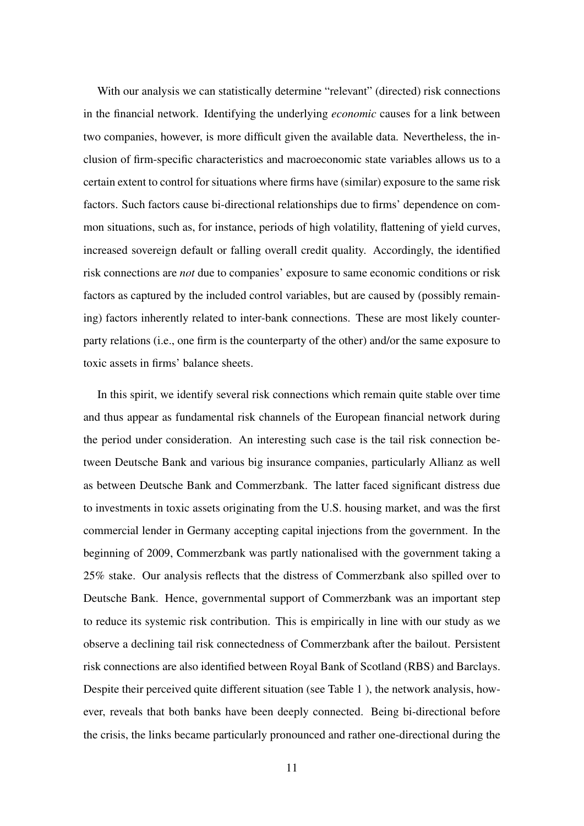With our analysis we can statistically determine "relevant" (directed) risk connections in the financial network. Identifying the underlying *economic* causes for a link between two companies, however, is more difficult given the available data. Nevertheless, the inclusion of firm-specific characteristics and macroeconomic state variables allows us to a certain extent to control for situations where firms have (similar) exposure to the same risk factors. Such factors cause bi-directional relationships due to firms' dependence on common situations, such as, for instance, periods of high volatility, flattening of yield curves, increased sovereign default or falling overall credit quality. Accordingly, the identified risk connections are *not* due to companies' exposure to same economic conditions or risk factors as captured by the included control variables, but are caused by (possibly remaining) factors inherently related to inter-bank connections. These are most likely counterparty relations (i.e., one firm is the counterparty of the other) and/or the same exposure to toxic assets in firms' balance sheets.

In this spirit, we identify several risk connections which remain quite stable over time and thus appear as fundamental risk channels of the European financial network during the period under consideration. An interesting such case is the tail risk connection between Deutsche Bank and various big insurance companies, particularly Allianz as well as between Deutsche Bank and Commerzbank. The latter faced significant distress due to investments in toxic assets originating from the U.S. housing market, and was the first commercial lender in Germany accepting capital injections from the government. In the beginning of 2009, Commerzbank was partly nationalised with the government taking a 25% stake. Our analysis reflects that the distress of Commerzbank also spilled over to Deutsche Bank. Hence, governmental support of Commerzbank was an important step to reduce its systemic risk contribution. This is empirically in line with our study as we observe a declining tail risk connectedness of Commerzbank after the bailout. Persistent risk connections are also identified between Royal Bank of Scotland (RBS) and Barclays. Despite their perceived quite different situation (see Table [1](#page-11-0) ), the network analysis, however, reveals that both banks have been deeply connected. Being bi-directional before the crisis, the links became particularly pronounced and rather one-directional during the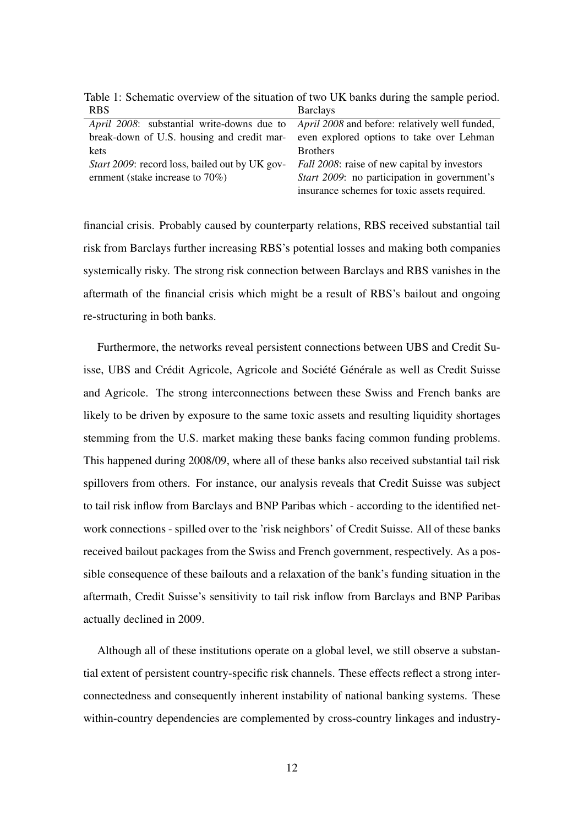| <b>RBS</b>                                     | <b>Barclays</b>                                       |  |
|------------------------------------------------|-------------------------------------------------------|--|
| April 2008: substantial write-downs due to     | <i>April 2008</i> and before: relatively well funded, |  |
| break-down of U.S. housing and credit mar-     | even explored options to take over Lehman             |  |
| kets                                           | <b>Brothers</b>                                       |  |
| Start 2009: record loss, bailed out by UK gov- | <i>Fall 2008</i> : raise of new capital by investors  |  |
| ernment (stake increase to $70\%)$             | Start 2009: no participation in government's          |  |
|                                                | insurance schemes for toxic assets required.          |  |

<span id="page-11-0"></span>Table 1: Schematic overview of the situation of two UK banks during the sample period.

financial crisis. Probably caused by counterparty relations, RBS received substantial tail risk from Barclays further increasing RBS's potential losses and making both companies systemically risky. The strong risk connection between Barclays and RBS vanishes in the aftermath of the financial crisis which might be a result of RBS's bailout and ongoing re-structuring in both banks.

Furthermore, the networks reveal persistent connections between UBS and Credit Suisse, UBS and Crédit Agricole, Agricole and Société Générale as well as Credit Suisse and Agricole. The strong interconnections between these Swiss and French banks are likely to be driven by exposure to the same toxic assets and resulting liquidity shortages stemming from the U.S. market making these banks facing common funding problems. This happened during 2008/09, where all of these banks also received substantial tail risk spillovers from others. For instance, our analysis reveals that Credit Suisse was subject to tail risk inflow from Barclays and BNP Paribas which - according to the identified network connections - spilled over to the 'risk neighbors' of Credit Suisse. All of these banks received bailout packages from the Swiss and French government, respectively. As a possible consequence of these bailouts and a relaxation of the bank's funding situation in the aftermath, Credit Suisse's sensitivity to tail risk inflow from Barclays and BNP Paribas actually declined in 2009.

Although all of these institutions operate on a global level, we still observe a substantial extent of persistent country-specific risk channels. These effects reflect a strong interconnectedness and consequently inherent instability of national banking systems. These within-country dependencies are complemented by cross-country linkages and industry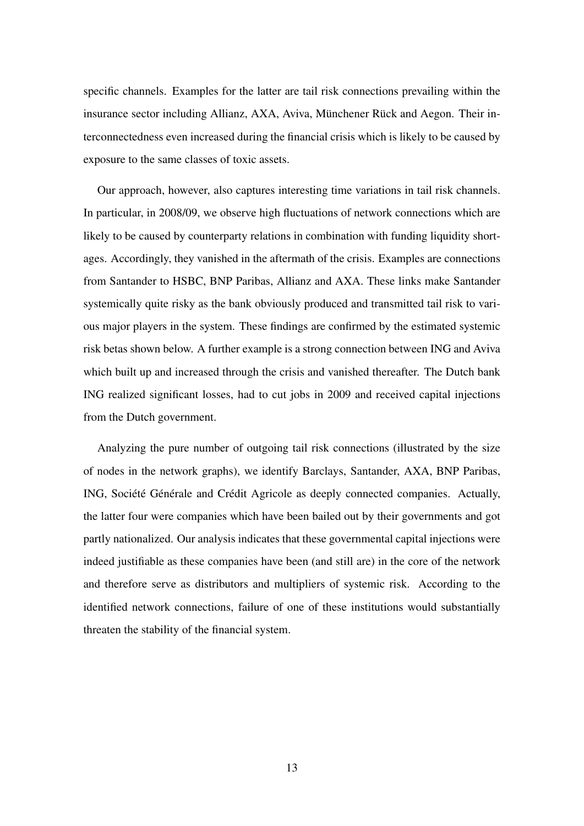specific channels. Examples for the latter are tail risk connections prevailing within the insurance sector including Allianz, AXA, Aviva, Münchener Rück and Aegon. Their interconnectedness even increased during the financial crisis which is likely to be caused by exposure to the same classes of toxic assets.

Our approach, however, also captures interesting time variations in tail risk channels. In particular, in 2008/09, we observe high fluctuations of network connections which are likely to be caused by counterparty relations in combination with funding liquidity shortages. Accordingly, they vanished in the aftermath of the crisis. Examples are connections from Santander to HSBC, BNP Paribas, Allianz and AXA. These links make Santander systemically quite risky as the bank obviously produced and transmitted tail risk to various major players in the system. These findings are confirmed by the estimated systemic risk betas shown below. A further example is a strong connection between ING and Aviva which built up and increased through the crisis and vanished thereafter. The Dutch bank ING realized significant losses, had to cut jobs in 2009 and received capital injections from the Dutch government.

Analyzing the pure number of outgoing tail risk connections (illustrated by the size of nodes in the network graphs), we identify Barclays, Santander, AXA, BNP Paribas, ING, Société Générale and Crédit Agricole as deeply connected companies. Actually, the latter four were companies which have been bailed out by their governments and got partly nationalized. Our analysis indicates that these governmental capital injections were indeed justifiable as these companies have been (and still are) in the core of the network and therefore serve as distributors and multipliers of systemic risk. According to the identified network connections, failure of one of these institutions would substantially threaten the stability of the financial system.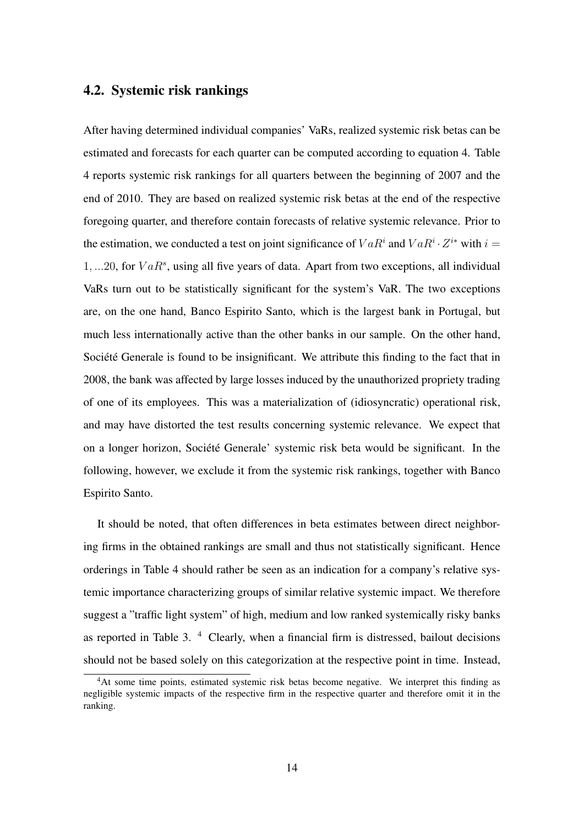#### 4.2. Systemic risk rankings

After having determined individual companies' VaRs, realized systemic risk betas can be estimated and forecasts for each quarter can be computed according to equation [4.](#page-7-1) Table [4](#page-27-0) reports systemic risk rankings for all quarters between the beginning of 2007 and the end of 2010. They are based on realized systemic risk betas at the end of the respective foregoing quarter, and therefore contain forecasts of relative systemic relevance. Prior to the estimation, we conducted a test on joint significance of  $VaR^i$  and  $VaR^i \cdot Z^{i*}$  with  $i =$ 1*, ...*20, for *V aR<sup>s</sup>*, using all five years of data. Apart from two exceptions, all individual VaRs turn out to be statistically significant for the system's VaR. The two exceptions are, on the one hand, Banco Espirito Santo, which is the largest bank in Portugal, but much less internationally active than the other banks in our sample. On the other hand, Société Generale is found to be insignificant. We attribute this finding to the fact that in 2008, the bank was affected by large losses induced by the unauthorized propriety trading of one of its employees. This was a materialization of (idiosyncratic) operational risk, and may have distorted the test results concerning systemic relevance. We expect that on a longer horizon, Société Generale' systemic risk beta would be significant. In the following, however, we exclude it from the systemic risk rankings, together with Banco Espirito Santo.

It should be noted, that often differences in beta estimates between direct neighboring firms in the obtained rankings are small and thus not statistically significant. Hence orderings in Table [4](#page-27-0) should rather be seen as an indication for a company's relative systemic importance characterizing groups of similar relative systemic impact. We therefore suggest a "traffic light system" of high, medium and low ranked systemically risky banks as reported in Table [3.](#page-26-0)  $4$  Clearly, when a financial firm is distressed, bailout decisions should not be based solely on this categorization at the respective point in time. Instead,

<sup>4</sup>At some time points, estimated systemic risk betas become negative. We interpret this finding as negligible systemic impacts of the respective firm in the respective quarter and therefore omit it in the ranking.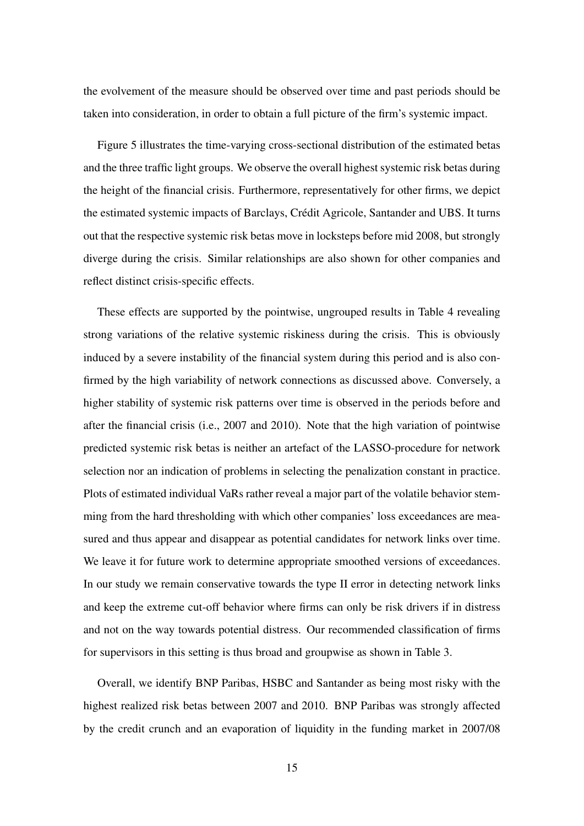the evolvement of the measure should be observed over time and past periods should be taken into consideration, in order to obtain a full picture of the firm's systemic impact.

Figure [5](#page-25-0) illustrates the time-varying cross-sectional distribution of the estimated betas and the three traffic light groups. We observe the overall highest systemic risk betas during the height of the financial crisis. Furthermore, representatively for other firms, we depict the estimated systemic impacts of Barclays, Crédit Agricole, Santander and UBS. It turns out that the respective systemic risk betas move in locksteps before mid 2008, but strongly diverge during the crisis. Similar relationships are also shown for other companies and reflect distinct crisis-specific effects.

These effects are supported by the pointwise, ungrouped results in Table [4](#page-27-0) revealing strong variations of the relative systemic riskiness during the crisis. This is obviously induced by a severe instability of the financial system during this period and is also confirmed by the high variability of network connections as discussed above. Conversely, a higher stability of systemic risk patterns over time is observed in the periods before and after the financial crisis (i.e., 2007 and 2010). Note that the high variation of pointwise predicted systemic risk betas is neither an artefact of the LASSO-procedure for network selection nor an indication of problems in selecting the penalization constant in practice. Plots of estimated individual VaRs rather reveal a major part of the volatile behavior stemming from the hard thresholding with which other companies' loss exceedances are measured and thus appear and disappear as potential candidates for network links over time. We leave it for future work to determine appropriate smoothed versions of exceedances. In our study we remain conservative towards the type II error in detecting network links and keep the extreme cut-off behavior where firms can only be risk drivers if in distress and not on the way towards potential distress. Our recommended classification of firms for supervisors in this setting is thus broad and groupwise as shown in Table [3.](#page-26-0)

Overall, we identify BNP Paribas, HSBC and Santander as being most risky with the highest realized risk betas between 2007 and 2010. BNP Paribas was strongly affected by the credit crunch and an evaporation of liquidity in the funding market in 2007/08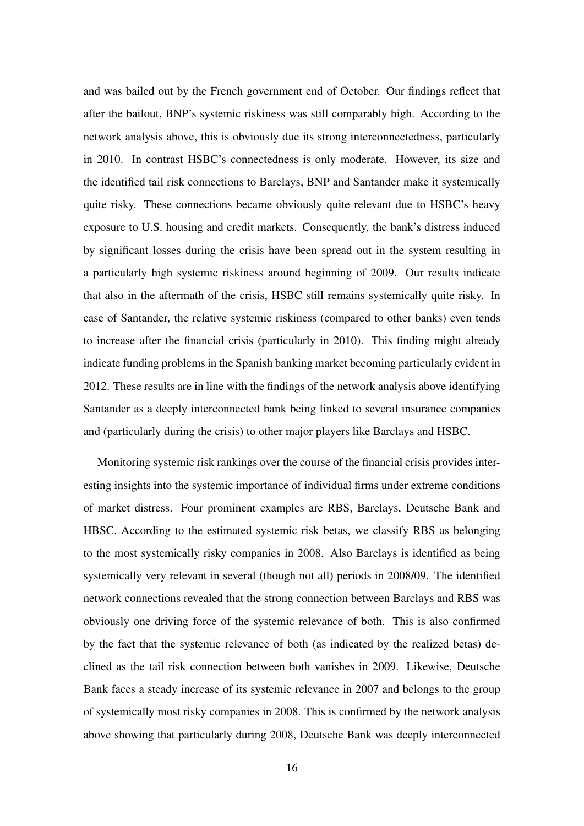and was bailed out by the French government end of October. Our findings reflect that after the bailout, BNP's systemic riskiness was still comparably high. According to the network analysis above, this is obviously due its strong interconnectedness, particularly in 2010. In contrast HSBC's connectedness is only moderate. However, its size and the identified tail risk connections to Barclays, BNP and Santander make it systemically quite risky. These connections became obviously quite relevant due to HSBC's heavy exposure to U.S. housing and credit markets. Consequently, the bank's distress induced by significant losses during the crisis have been spread out in the system resulting in a particularly high systemic riskiness around beginning of 2009. Our results indicate that also in the aftermath of the crisis, HSBC still remains systemically quite risky. In case of Santander, the relative systemic riskiness (compared to other banks) even tends to increase after the financial crisis (particularly in 2010). This finding might already indicate funding problems in the Spanish banking market becoming particularly evident in 2012. These results are in line with the findings of the network analysis above identifying Santander as a deeply interconnected bank being linked to several insurance companies and (particularly during the crisis) to other major players like Barclays and HSBC.

Monitoring systemic risk rankings over the course of the financial crisis provides interesting insights into the systemic importance of individual firms under extreme conditions of market distress. Four prominent examples are RBS, Barclays, Deutsche Bank and HBSC. According to the estimated systemic risk betas, we classify RBS as belonging to the most systemically risky companies in 2008. Also Barclays is identified as being systemically very relevant in several (though not all) periods in 2008/09. The identified network connections revealed that the strong connection between Barclays and RBS was obviously one driving force of the systemic relevance of both. This is also confirmed by the fact that the systemic relevance of both (as indicated by the realized betas) declined as the tail risk connection between both vanishes in 2009. Likewise, Deutsche Bank faces a steady increase of its systemic relevance in 2007 and belongs to the group of systemically most risky companies in 2008. This is confirmed by the network analysis above showing that particularly during 2008, Deutsche Bank was deeply interconnected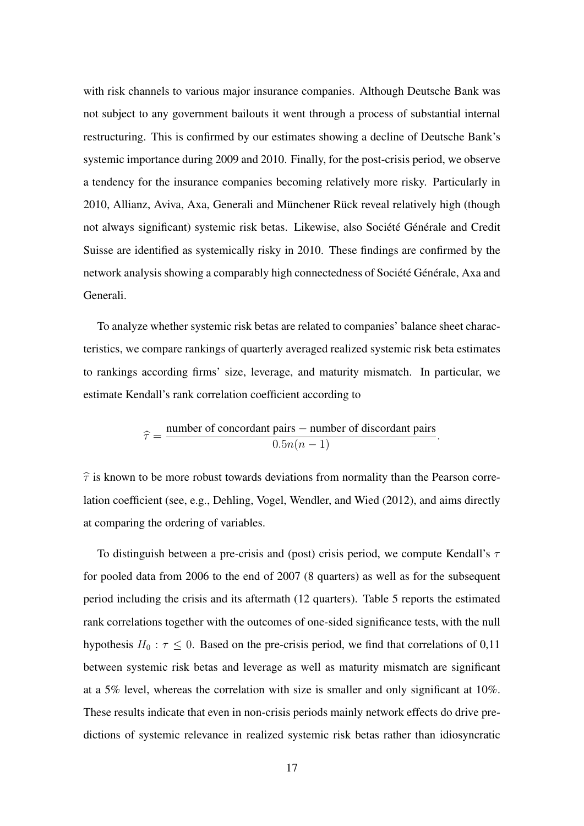with risk channels to various major insurance companies. Although Deutsche Bank was not subject to any government bailouts it went through a process of substantial internal restructuring. This is confirmed by our estimates showing a decline of Deutsche Bank's systemic importance during 2009 and 2010. Finally, for the post-crisis period, we observe a tendency for the insurance companies becoming relatively more risky. Particularly in 2010, Allianz, Aviva, Axa, Generali and Münchener Rück reveal relatively high (though not always significant) systemic risk betas. Likewise, also Société Générale and Credit Suisse are identified as systemically risky in 2010. These findings are confirmed by the network analysis showing a comparably high connectedness of Société Générale, Axa and Generali.

To analyze whether systemic risk betas are related to companies' balance sheet characteristics, we compare rankings of quarterly averaged realized systemic risk beta estimates to rankings according firms' size, leverage, and maturity mismatch. In particular, we estimate Kendall's rank correlation coefficient according to

$$
\widehat{\tau} = \frac{\text{number of concordant pairs} - \text{number of discordant pairs}}{0.5n(n-1)}.
$$

 $\hat{\tau}$  is known to be more robust towards deviations from normality than the Pearson correlation coefficient (see, e.g., Dehling, Vogel, Wendler, and Wied (2012), and aims directly at comparing the ordering of variables.

To distinguish between a pre-crisis and (post) crisis period, we compute Kendall's  $\tau$ for pooled data from 2006 to the end of 2007 (8 quarters) as well as for the subsequent period including the crisis and its aftermath (12 quarters). Table [5](#page-30-0) reports the estimated rank correlations together with the outcomes of one-sided significance tests, with the null hypothesis  $H_0: \tau \leq 0$ . Based on the pre-crisis period, we find that correlations of 0,11 between systemic risk betas and leverage as well as maturity mismatch are significant at a 5% level, whereas the correlation with size is smaller and only significant at 10%. These results indicate that even in non-crisis periods mainly network effects do drive predictions of systemic relevance in realized systemic risk betas rather than idiosyncratic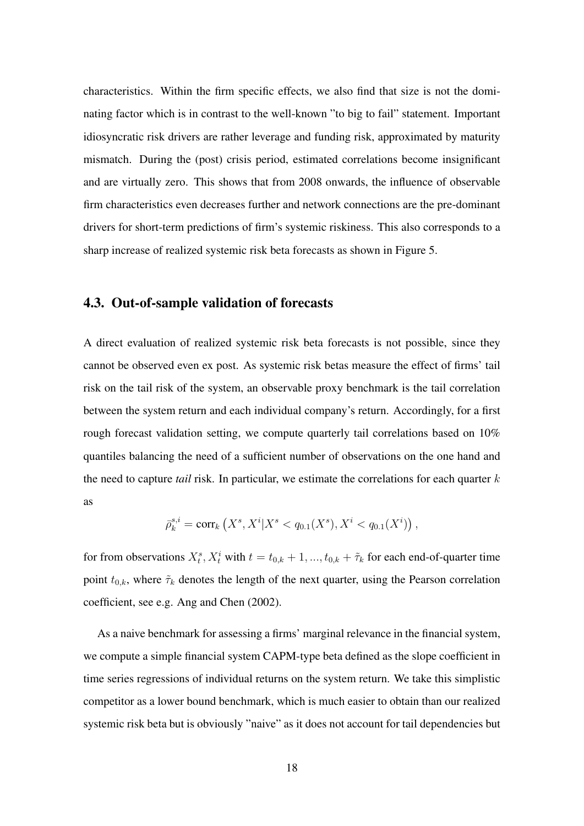characteristics. Within the firm specific effects, we also find that size is not the dominating factor which is in contrast to the well-known "to big to fail" statement. Important idiosyncratic risk drivers are rather leverage and funding risk, approximated by maturity mismatch. During the (post) crisis period, estimated correlations become insignificant and are virtually zero. This shows that from 2008 onwards, the influence of observable firm characteristics even decreases further and network connections are the pre-dominant drivers for short-term predictions of firm's systemic riskiness. This also corresponds to a sharp increase of realized systemic risk beta forecasts as shown in Figure [5.](#page-25-0)

### 4.3. Out-of-sample validation of forecasts

A direct evaluation of realized systemic risk beta forecasts is not possible, since they cannot be observed even ex post. As systemic risk betas measure the effect of firms' tail risk on the tail risk of the system, an observable proxy benchmark is the tail correlation between the system return and each individual company's return. Accordingly, for a first rough forecast validation setting, we compute quarterly tail correlations based on 10% quantiles balancing the need of a sufficient number of observations on the one hand and the need to capture *tail* risk. In particular, we estimate the correlations for each quarter *k* as

$$
\bar{\rho}_k^{s,i} = \text{corr}_k\left(X^s, X^i | X^s < q_{0.1}(X^s), X^i < q_{0.1}(X^i)\right),
$$

for from observations  $X_t^s$ ,  $X_t^i$  with  $t = t_{0,k} + 1, ..., t_{0,k} + \tilde{\tau}_k$  for each end-of-quarter time point  $t_{0,k}$ , where  $\tilde{\tau}_k$  denotes the length of the next quarter, using the Pearson correlation coefficient, see e.g. Ang and Chen (2002).

As a naive benchmark for assessing a firms' marginal relevance in the financial system, we compute a simple financial system CAPM-type beta defined as the slope coefficient in time series regressions of individual returns on the system return. We take this simplistic competitor as a lower bound benchmark, which is much easier to obtain than our realized systemic risk beta but is obviously "naive" as it does not account for tail dependencies but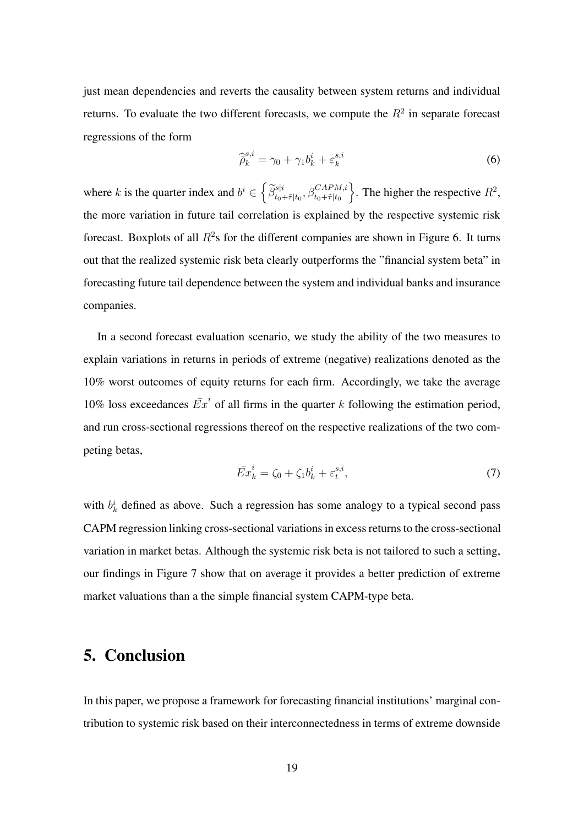just mean dependencies and reverts the causality between system returns and individual returns. To evaluate the two different forecasts, we compute the  $R<sup>2</sup>$  in separate forecast regressions of the form

<span id="page-18-1"></span>
$$
\widehat{\tilde{\rho}}_k^{s,i} = \gamma_0 + \gamma_1 b_k^i + \varepsilon_k^{s,i} \tag{6}
$$

where *k* is the quarter index and  $b^i \in \left\{ \frac{\tilde{\beta}^{s|i}_{t_0+\tilde{\tau}|t_0}, \beta^{CAPM,i}_{t_0+\tilde{\tau}|t_0}}$  $\}$ . The higher the respective  $R^2$ , the more variation in future tail correlation is explained by the respective systemic risk forecast. Boxplots of all  $R^2$ s for the different companies are shown in Figure [6.](#page-29-0) It turns out that the realized systemic risk beta clearly outperforms the "financial system beta" in forecasting future tail dependence between the system and individual banks and insurance companies.

In a second forecast evaluation scenario, we study the ability of the two measures to explain variations in returns in periods of extreme (negative) realizations denoted as the 10% worst outcomes of equity returns for each firm. Accordingly, we take the average 10% loss exceedances  $\overline{Ex}^i$  of all firms in the quarter k following the estimation period, and run cross-sectional regressions thereof on the respective realizations of the two competing betas,

$$
\bar{Ex}_k^i = \zeta_0 + \zeta_1 b_k^i + \varepsilon_t^{s,i},\tag{7}
$$

<span id="page-18-2"></span>with  $b_k^i$  defined as above. Such a regression has some analogy to a typical second pass CAPM regression linking cross-sectional variations in excess returns to the cross-sectional variation in market betas. Although the systemic risk beta is not tailored to such a setting, our findings in Figure [7](#page-29-1) show that on average it provides a better prediction of extreme market valuations than a the simple financial system CAPM-type beta.

## <span id="page-18-0"></span>5. Conclusion

In this paper, we propose a framework for forecasting financial institutions' marginal contribution to systemic risk based on their interconnectedness in terms of extreme downside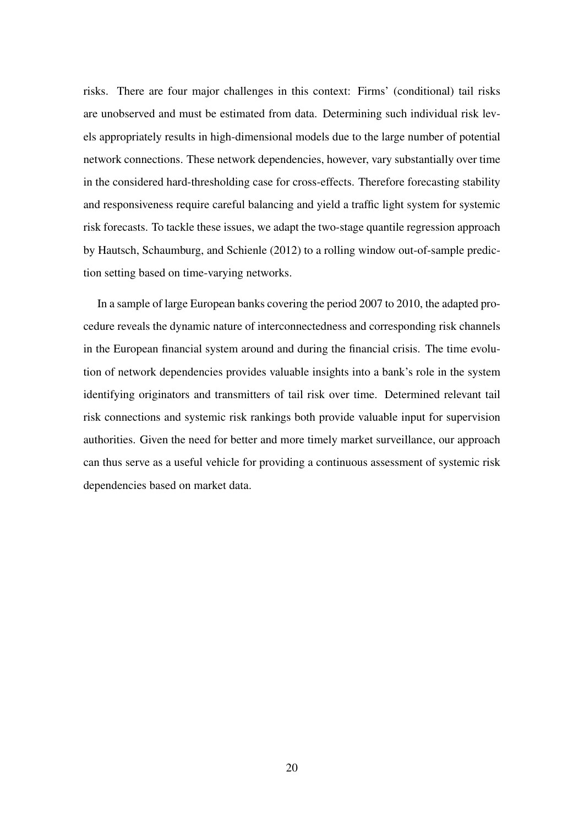risks. There are four major challenges in this context: Firms' (conditional) tail risks are unobserved and must be estimated from data. Determining such individual risk levels appropriately results in high-dimensional models due to the large number of potential network connections. These network dependencies, however, vary substantially over time in the considered hard-thresholding case for cross-effects. Therefore forecasting stability and responsiveness require careful balancing and yield a traffic light system for systemic risk forecasts. To tackle these issues, we adapt the two-stage quantile regression approach by Hautsch, Schaumburg, and Schienle (2012) to a rolling window out-of-sample prediction setting based on time-varying networks.

In a sample of large European banks covering the period 2007 to 2010, the adapted procedure reveals the dynamic nature of interconnectedness and corresponding risk channels in the European financial system around and during the financial crisis. The time evolution of network dependencies provides valuable insights into a bank's role in the system identifying originators and transmitters of tail risk over time. Determined relevant tail risk connections and systemic risk rankings both provide valuable input for supervision authorities. Given the need for better and more timely market surveillance, our approach can thus serve as a useful vehicle for providing a continuous assessment of systemic risk dependencies based on market data.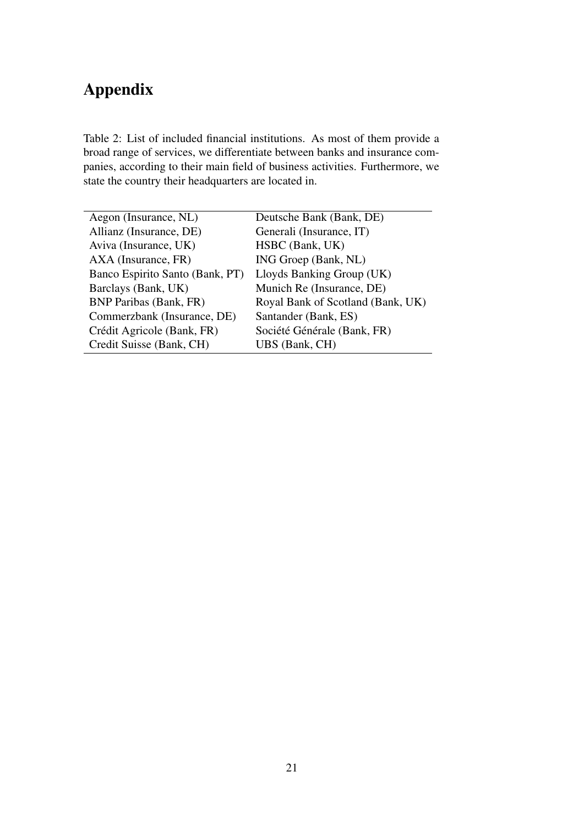# Appendix

<span id="page-20-0"></span>Table 2: List of included financial institutions. As most of them provide a broad range of services, we differentiate between banks and insurance companies, according to their main field of business activities. Furthermore, we state the country their headquarters are located in.

| Aegon (Insurance, NL)           | Deutsche Bank (Bank, DE)          |
|---------------------------------|-----------------------------------|
| Allianz (Insurance, DE)         | Generali (Insurance, IT)          |
| Aviva (Insurance, UK)           | HSBC (Bank, UK)                   |
| AXA (Insurance, FR)             | ING Groep (Bank, NL)              |
| Banco Espirito Santo (Bank, PT) | Lloyds Banking Group (UK)         |
| Barclays (Bank, UK)             | Munich Re (Insurance, DE)         |
| <b>BNP Paribas (Bank, FR)</b>   | Royal Bank of Scotland (Bank, UK) |
| Commerzbank (Insurance, DE)     | Santander (Bank, ES)              |
| Crédit Agricole (Bank, FR)      | Société Générale (Bank, FR)       |
| Credit Suisse (Bank, CH)        | UBS (Bank, CH)                    |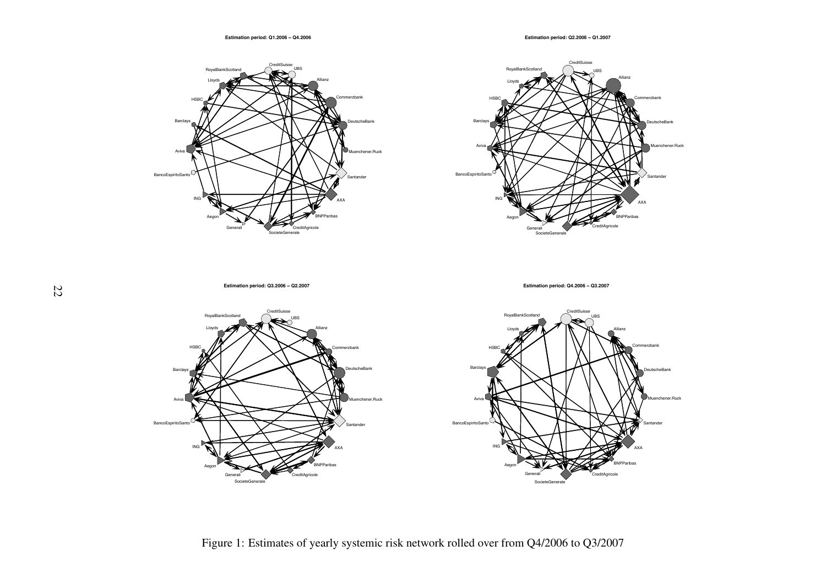

<span id="page-21-0"></span>

**Estimation period: Q3.2006 − Q2.2007**

**Estimation period: Q4.2006 − Q3.2007**



Figure 1: Estimates of yearly systemic risk network rolled over from Q4/2006 to Q3/2007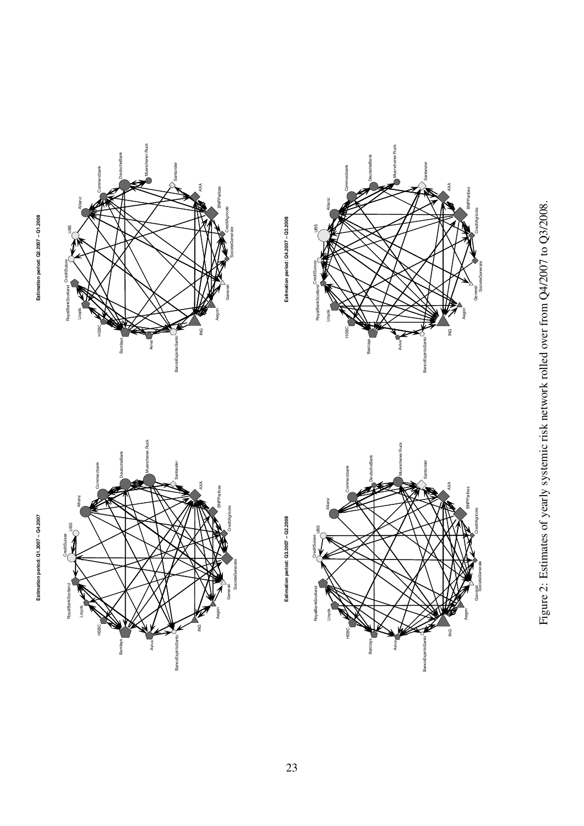

UBS

Allianz

Commerzbank

DeutscheBank

eBank

Muenchener.Ruck

ner.Ruck

**Santander** 

AXA

BNPParibas

**CreditAgricole** 



ING

**BancoEspiritoSanto** 

BancoEspiritoSanto

Aviva

Barclays

HSBC



CreditSuisse UBS

**RoyalBankScotland** Lloyds

ovalBar

Allianz

Commerzbank

DeutscheBank

Muenchener.Ruck

nchener.Ruck

Santander

AXA

BNPParibas

**SNPParibas** 

**CreditAgricole** 

Generali<br>SocieteGenerale

Aegon

ING

**BancoEspiritoSanto** 

BancoEspiritoSan

Aviva

Barclays

HSBC



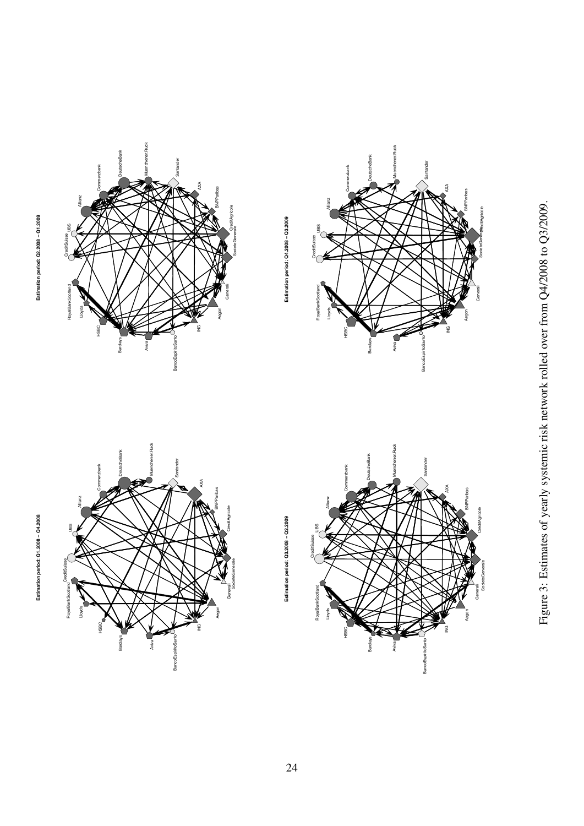



CreditSuisse UBS

RoyalBankScotlan

Allianz

Commerzbank

DeutscheBank

Bank

Muenchener.Ruck

ner.Ruck

**Santander** 

AXA

BNPParibas

CreditAgricole<br>SocieteGenerale

**Estimation period: Q4.2008 − Q3.2009**

Estimation period: Q4.2008 - Q3.2009

Generali

Aegon

ING



Aviva

Barclays

HSBC

Lloyds RoyalBankScotland

BancoEspiritoSanto

BancoEspiritoS

Aviva

Barclays







24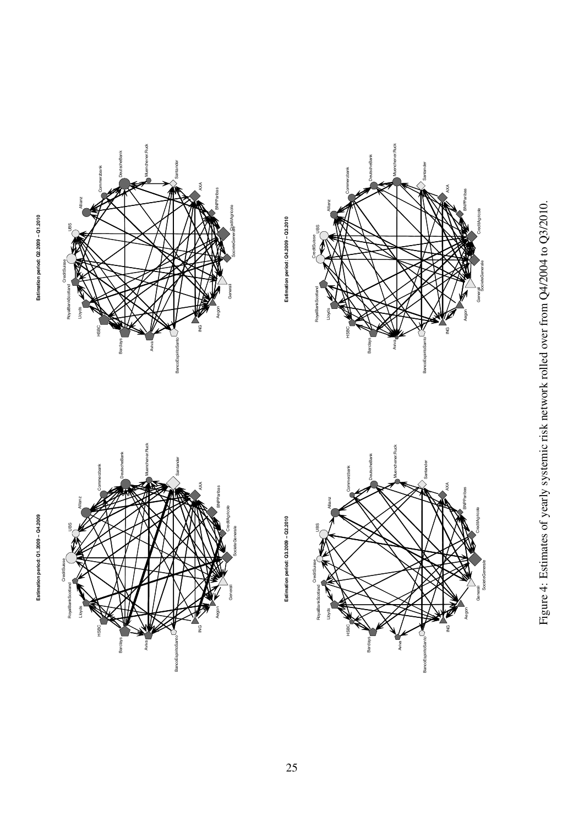

**CreditSuisse** 

RoyalBankScotland Lloyds

**RovalBankSco** 

UBS

Allianz

Commerzbank

DeutscheBank

Muenchener.Ruck

hener.Ruck

Santander

AXA

**BRPParibas** 

**CreditAgricole** 

**SocieteGenerale** 

Generali

Aegon

ING

BancoEspiritoSanto

**BancoEspiritoSant** 

Aviva

Barclays

HSBC





Estimation period: Q3.2009 - Q2.2010 **Estimation period: Q3.2009 − Q2.2010**

**Estimation period: Q4.2009 − Q3.2010**

Estimation period: Q4.2009 - Q3.2010

CreditSuisse UBS Allianz

Lloyds RoyalBankScotland

RouglBar

Commerzbank

DeutscheBank

Muenchener.Ruck

<span id="page-24-0"></span>ener.Ruck

Santander

AXA

BNPParibas

**CreditAgricole** 

Generali<br>Societe Generale

Aegon

ING

**BancoEspiritoSanto** 

BancoEspiritoSa

Aviva

Barclays

HSBC



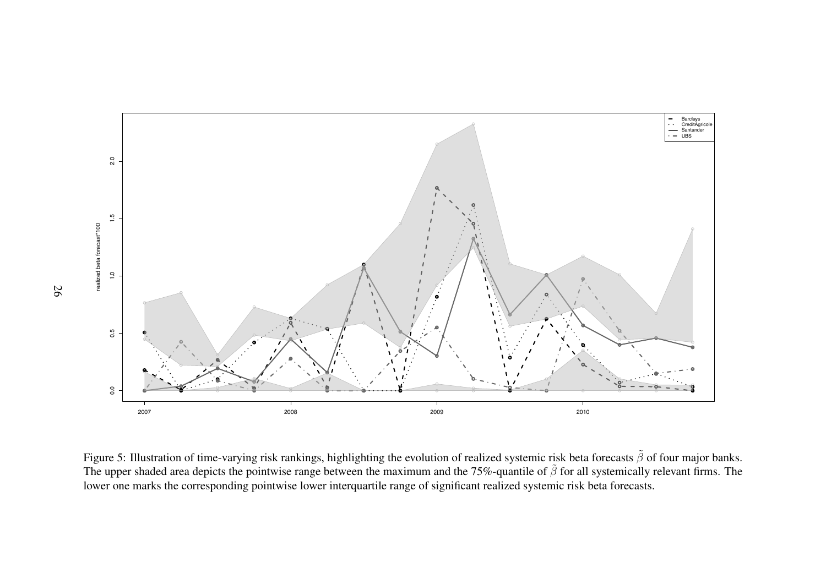<span id="page-25-0"></span>

Figure 5: Illustration of time-varying risk rankings, highlighting the evolution of realized systemic risk beta forecasts  $\tilde{\beta}$  of four major banks. The upper shaded area depicts the pointwise range between the maximum and the 75%-quantile of  $\tilde{\beta}$  for all systemically relevant firms. The lower one marks the corresponding pointwise lower interquartile range of significant realized systemic risk beta forecasts.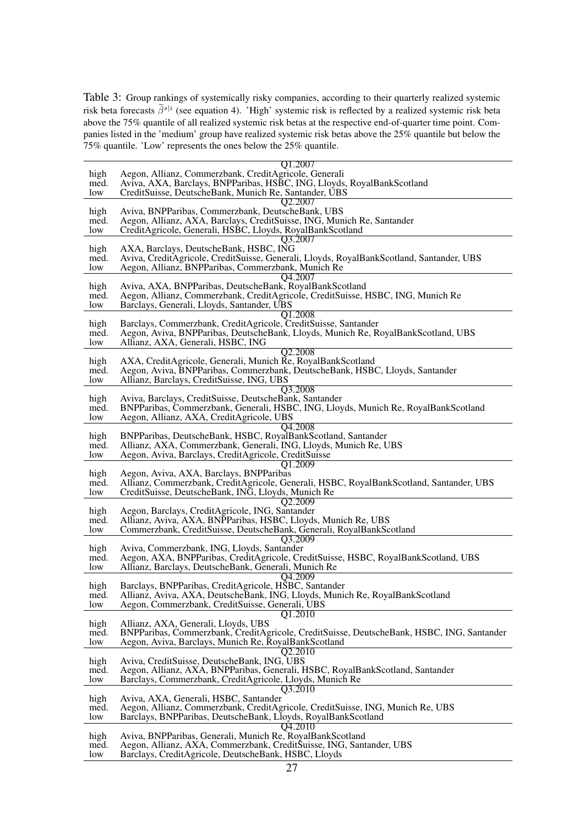<span id="page-26-0"></span>Table 3: Group rankings of systemically risky companies, according to their quarterly realized systemic risk beta forecasts  $\beta^{s|i}$  (see equation [4\)](#page-7-1). 'High' systemic risk is reflected by a realized systemic risk beta above the 75% quantile of all realized systemic risk betas at the respective end-of-quarter time point. Companies listed in the 'medium' group have realized systemic risk betas above the 25% quantile but below the 75% quantile. 'Low' represents the ones below the 25% quantile.

|              | Q1.2007                                                                                                                         |
|--------------|---------------------------------------------------------------------------------------------------------------------------------|
| high         | Aegon, Allianz, Commerzbank, CreditAgricole, Generali                                                                           |
| med.         | Aviva, AXA, Barclays, BNPParibas, HSBC, ING, Lloyds, RoyalBankScotland                                                          |
| low          | CreditSuisse, DeutscheBank, Munich Re, Santander, UBS                                                                           |
|              | Q2.2007                                                                                                                         |
| high         | Aviva, BNPParibas, Commerzbank, DeutscheBank, UBS                                                                               |
| med.         | Aegon, Allianz, AXA, Barclays, CreditSuisse, ING, Munich Re, Santander                                                          |
| low          | CreditAgricole, Generali, HSBC, Lloyds, RoyalBankScotland                                                                       |
|              | Q3.2007                                                                                                                         |
| high         | AXA, Barclays, DeutscheBank, HSBC, ING                                                                                          |
| med.         | Aviva, CreditAgricole, CreditSuisse, Generali, Lloyds, RoyalBankScotland, Santander, UBS                                        |
| low          | Aegon, Allianz, BNPParibas, Commerzbank, Munich Re                                                                              |
|              | Q4.2007                                                                                                                         |
| high         | Aviva, AXA, BNPParibas, DeutscheBank, RoyalBankScotland                                                                         |
| med.         | Aegon, Allianz, Commerzbank, CreditAgricole, CreditSuisse, HSBC, ING, Munich Re                                                 |
| low          | Barclays, Generali, Lloyds, Santander, UBS                                                                                      |
|              | Q1.2008                                                                                                                         |
| high         | Barclays, Commerzbank, CreditAgricole, CreditSuisse, Santander                                                                  |
| med.         | Aegon, Aviva, BNPParibas, DeutscheBank, Lloyds, Munich Re, RoyalBankScotland, UBS                                               |
| low          | Allianz, AXA, Generali, HSBC, ING                                                                                               |
|              | O <sub>2.2008</sub>                                                                                                             |
| high         | AXA, CreditAgricole, Generali, Munich Re, RoyalBankScotland                                                                     |
| med.         | Aegon, Aviva, BNPParibas, Commerzbank, DeutscheBank, HSBC, Lloyds, Santander                                                    |
| low          | Allianz, Barclays, CreditSuisse, ING, UBS                                                                                       |
|              | Q3.2008                                                                                                                         |
| high         | Aviva, Barclays, CreditSuisse, DeutscheBank, Santander                                                                          |
| med.         | BNPParibas, Commerzbank, Generali, HSBC, ING, Lloyds, Munich Re, RoyalBankScotland                                              |
| low          | Aegon, Allianz, AXA, CreditAgricole, UBS                                                                                        |
|              | Q4.2008                                                                                                                         |
| high         | BNPParibas, DeutscheBank, HSBC, RoyalBankScotland, Santander                                                                    |
| med.         | Allianz, AXA, Commerzbank, Generali, ING, Lloyds, Munich Re, UBS                                                                |
| low          | Aegon, Aviva, Barclays, CreditAgricole, CreditSuisse                                                                            |
|              | Q1.2009                                                                                                                         |
| high         | Aegon, Aviva, AXA, Barclays, BNPParibas                                                                                         |
| med.<br>low  | Allianz, Commerzbank, CreditAgricole, Generali, HSBC, RoyalBankScotland, Santander, UBS                                         |
|              |                                                                                                                                 |
|              | CreditSuisse, DeutscheBank, ING, Lloyds, Munich Re                                                                              |
|              | Q2.2009                                                                                                                         |
| high         | Aegon, Barclays, CreditAgricole, ING, Santander                                                                                 |
| med.         | Allianz, Aviva, AXA, BNPParibas, HSBC, Lloyds, Munich Re, UBS                                                                   |
| low          | Commerzbank, CreditSuisse, DeutscheBank, Generali, RoyalBankScotland                                                            |
|              | O3.2009                                                                                                                         |
| high         | Aviva, Commerzbank, ING, Lloyds, Santander                                                                                      |
| med.<br>low  | Aegon, AXA, BNPParibas, CreditAgricole, CreditSuisse, HSBC, RoyalBankScotland, UBS                                              |
|              | Allianz, Barclays, DeutscheBank, Generali, Munich Re                                                                            |
|              | Q4.2009                                                                                                                         |
| high<br>med. | Barclays, BNPParibas, CreditAgricole, HSBC, Santander                                                                           |
| low          | Allianz, Aviva, AXA, DeutscheBank, ING, Lloyds, Munich Re, RoyalBankScotland<br>Aegon, Commerzbank, CreditSuisse, Generali, UBS |
|              | Q1.2010                                                                                                                         |
| high         | Allianz, AXA, Generali, Lloyds, UBS                                                                                             |
| med.         | BNPParibas, Commerzbank, CreditAgricole, CreditSuisse, DeutscheBank, HSBC, ING, Santander                                       |
| low          | Aegon, Aviva, Barclays, Munich Re, RoyalBankScotland                                                                            |
|              | Q2.2010                                                                                                                         |
| high         | Aviva, CreditSuisse, DeutscheBank, ING, UBS                                                                                     |
| med.         | Aegon, Allianz, AXA, BNPParibas, Generali, HSBC, RoyalBankScotland, Santander                                                   |
| low          | Barclays, Commerzbank, CreditAgricole, Lloyds, Munich Re                                                                        |
|              | O3.2010                                                                                                                         |
| high         | Aviva, AXA, Generali, HSBC, Santander                                                                                           |
| med.         | Aegon, Allianz, Commerzbank, CreditAgricole, CreditSuisse, ING, Munich Re, UBS                                                  |
| low          | Barclays, BNPParibas, DeutscheBank, Lloyds, RoyalBankScotland                                                                   |
|              | O4.2010                                                                                                                         |
| high         | Aviva, BNPParibas, Generali, Munich Re, RoyalBankScotland                                                                       |
| med.<br>low  | Aegon, Allianz, AXA, Commerzbank, CreditSuisse, ING, Santander, UBS<br>Barclays, CreditAgricole, DeutscheBank, HSBC, Lloyds     |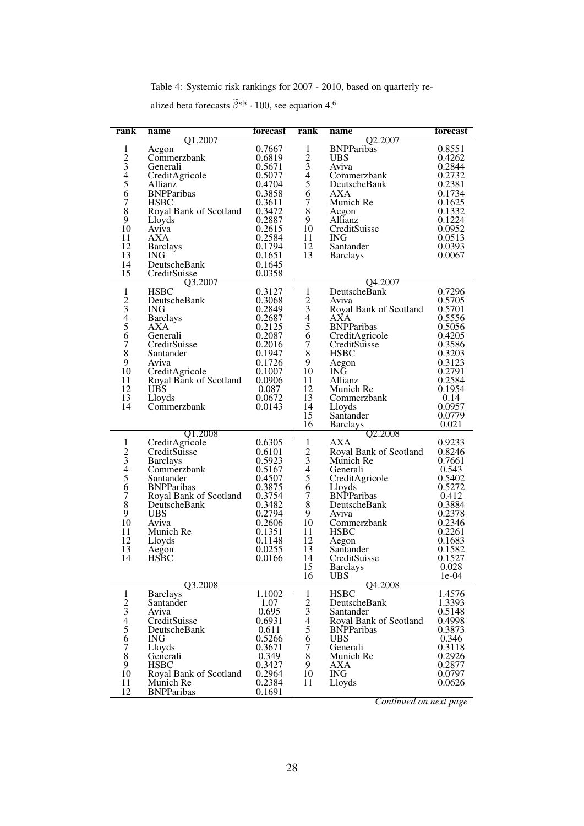Table 4: Systemic risk rankings for 2007 - 2010, based on quarterly re-

alized beta forecasts  $\tilde{\beta}^{s|i} \cdot 100$ , see equation [4.](#page-7-1)<sup>[6](#page-0-0)</sup>

<span id="page-27-0"></span>

| rank                 | name                                     | forecast | rank             | name                   | forecast |
|----------------------|------------------------------------------|----------|------------------|------------------------|----------|
|                      | Q1.2007                                  |          |                  | Q2.2007                |          |
| 1                    | Aegon                                    | 0.7667   | 1                | <b>BNPParibas</b>      | 0.8551   |
|                      | Commerzbank                              | 0.6819   |                  | <b>UBS</b>             | 0.4262   |
| $\frac{2}{3}$        | Generali                                 | 0.5671   | $\frac{2}{3}$    | Aviva                  | 0.2844   |
|                      | CreditAgricole                           | 0.5077   |                  | Commerzbank            | 0.2732   |
| $\frac{5}{5}$        |                                          |          | $\frac{4}{5}$    |                        |          |
|                      | Allianz                                  | 0.4704   |                  | DeutscheBank           | 0.2381   |
| 6                    | <b>BNPParibas</b>                        | 0.3858   | 6                | <b>AXA</b>             | 0.1734   |
| $\overline{7}$       | <b>HSBC</b>                              | 0.3611   | $\boldsymbol{7}$ | Munich Re              | 0.1625   |
| $\bar{8}$            | Royal Bank of Scotland                   | 0.3472   | $\,$ 8 $\,$      | Aegon                  | 0.1332   |
| 9                    | Lloyds                                   | 0.2887   | 9                | Allianz                | 0.1224   |
| 10                   | Aviva                                    | 0.2615   | 10               | CreditSuisse           | 0.0952   |
| 11                   | AXA.                                     | 0.2584   | 11               | <b>ING</b>             | 0.0513   |
| 12                   |                                          | 0.1794   | 12               | Santander              | 0.0393   |
|                      | <b>Barclays</b>                          |          |                  |                        |          |
| 13                   | <b>ING</b>                               | 0.1651   | 13               | <b>Barclays</b>        | 0.0067   |
| 14                   | DeutscheBank                             | 0.1645   |                  |                        |          |
| 15                   | CreditSuisse                             | 0.0358   |                  |                        |          |
|                      | Q3.2007                                  |          |                  | Q4.2007                |          |
| $\mathbf{1}$         | <b>HSBC</b>                              | 0.3127   | 1                | DeutscheBank           | 0.7296   |
|                      | DeutscheBank                             | 0.3068   |                  | Aviva                  | 0.5705   |
|                      |                                          |          | $\frac{2}{3}$    |                        |          |
|                      | <b>ING</b>                               | 0.2849   |                  | Royal Bank of Scotland | 0.5701   |
| $\frac{2}{3}$<br>4 5 | <b>Barclays</b>                          | 0.2687   | $rac{4}{5}$      | AXA                    | 0.5556   |
|                      | AXA                                      | 0.2125   |                  | <b>BNPParibas</b>      | 0.5056   |
| 6                    | Generali                                 | 0.2087   | 6                | CreditAgricole         | 0.4205   |
| $\check{\tau}$       | CreditSuisse                             | 0.2016   | $\boldsymbol{7}$ | CreditSuisse           | 0.3586   |
| 8                    | Santander                                | 0.1947   | 8                | <b>HSBC</b>            | 0.3203   |
| 9                    |                                          | 0.1726   | 9                |                        | 0.3123   |
|                      | Aviva                                    |          |                  | Aegon                  |          |
| 10                   | CreditAgricole<br>Royal Bank of Scotland | 0.1007   | 10               | ING                    | 0.2791   |
| 11                   |                                          | 0.0906   | 11               | Allianz                | 0.2584   |
| 12                   | <b>UBS</b>                               | 0.087    | 12               | Munich Re              | 0.1954   |
| 13                   | Lloyds                                   | 0.0672   | 13               | Commerzbank            | 0.14     |
| 14                   | Commerzbank                              | 0.0143   | 14               | Lloyds                 | 0.0957   |
|                      |                                          |          | 15               | Santander              | 0.0779   |
|                      |                                          |          |                  |                        |          |
|                      |                                          |          | 16               | <b>Barclays</b>        | 0.021    |
|                      | Q1.2008                                  |          |                  | Q2.2008                |          |
| $\mathbf{1}$         | CreditAgricole                           | 0.6305   | 1                | AXA                    | 0.9233   |
|                      | CreditSuisse                             | 0.6101   |                  | Royal Bank of Scotland | 0.8246   |
|                      | <b>Barclays</b>                          | 0.5923   |                  | Munich Re              | 0.7661   |
| $\frac{2}{3}$<br>4 5 | Commerzbank                              | 0.5167   | $\frac{2}{3}$    | Generali               | 0.543    |
|                      | Santander                                | 0.4507   | $\overline{5}$   | CreditAgricole         | 0.5402   |
| $\overline{6}$       | <b>BNPParibas</b>                        | 0.3875   | 6                |                        | 0.5272   |
|                      |                                          |          |                  | Lloyds                 |          |
| $\overline{7}$       | Royal Bank of Scotland                   | 0.3754   | $\overline{7}$   | <b>BNPParibas</b>      | 0.412    |
| $\dot{8}$            | DeutscheBank                             | 0.3482   | $\,$ 8 $\,$      | DeutscheBank           | 0.3884   |
| 9                    | <b>UBS</b>                               | 0.2794   | 9                | Aviva                  | 0.2378   |
| 10                   | Aviva                                    | 0.2606   | 10               | Commerzbank            | 0.2346   |
| 11                   | Munich Re                                | 0.1351   | 11               | <b>HSBC</b>            | 0.2261   |
| 12                   | Lloyds                                   | 0.1148   | 12               | Aegon                  | 0.1683   |
| 13                   |                                          | 0.0255   | 13               | Santander              | 0.1582   |
|                      | Aegon                                    |          |                  |                        |          |
| 14                   | <b>HSBC</b>                              | 0.0166   | 14               | CreditSuisse           | 0.1527   |
|                      |                                          |          | 15               | <b>Barclays</b>        | 0.028    |
|                      |                                          |          | 16               | <b>UBS</b>             | $1e-04$  |
|                      | Q3.2008                                  |          |                  | Q4.2008                |          |
| 1                    | <b>Barclays</b>                          | 1.1002   | 1                | <b>HSBC</b>            | 1.4576   |
| $\overline{c}$       | Santander                                | 1.07     | $\overline{c}$   | DeutscheBank           | 1.3393   |
|                      | Aviva                                    | 0.695    |                  | Santander              | 0.5148   |
|                      | CreditSuisse                             |          | $\frac{3}{4}$    |                        |          |
|                      |                                          | 0.6931   |                  | Royal Bank of Scotland | 0.4998   |
| 3456                 | DeutscheBank                             | 0.611    | 5                | <b>BNPParibas</b>      | 0.3873   |
|                      | <b>ING</b>                               | 0.5266   | $\overline{6}$   | <b>UBS</b>             | 0.346    |
| 7                    | Lloyds                                   | 0.3671   | 7                | Generali               | 0.3118   |
| $\overline{8}$       | Generali                                 | 0.349    | $\,8\,$          | Munich Re              | 0.2926   |
| 9                    | <b>HSBC</b>                              | 0.3427   | 9                | <b>AXA</b>             | 0.2877   |
| 10                   | Royal Bank of Scotland                   | 0.2964   | 10               | <b>ING</b>             | 0.0797   |
|                      |                                          |          |                  |                        |          |
| 11                   | Munich Re                                | 0.2384   | 11               | Lloyds                 | 0.0626   |
| 12                   | <b>BNPParibas</b>                        | 0.1691   |                  |                        |          |

*Continued on next page*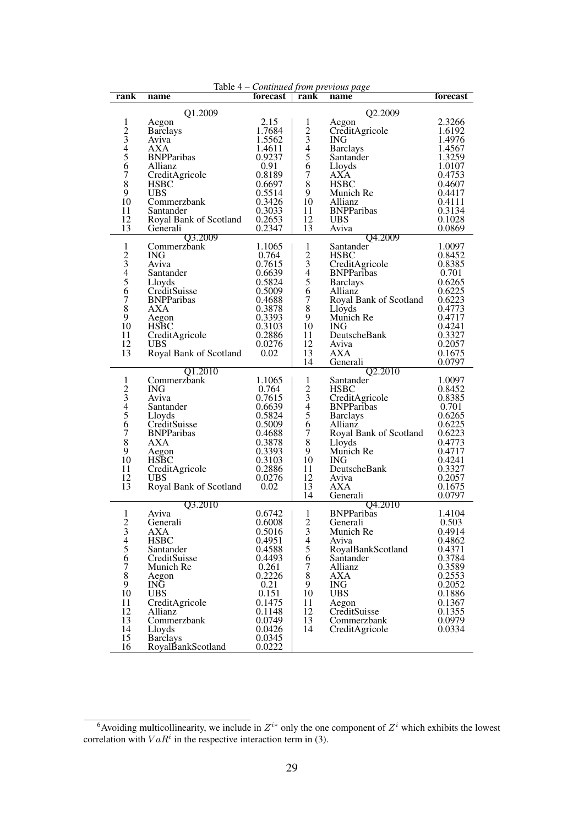| Table 4 – Continued from previous page |                                     |                  |                          |                          |                  |
|----------------------------------------|-------------------------------------|------------------|--------------------------|--------------------------|------------------|
| rank                                   | name                                | forecast         | rank                     | name                     | forecast         |
|                                        | Q1.2009                             |                  |                          | Q2.2009                  |                  |
| 1                                      | Aegon                               | 2.15             | 1                        | Aegon                    | 2.3266           |
|                                        | <b>Barclays</b>                     | 1.7684           | $\overline{2}$           | CreditAgricole           | 1.6192           |
| $\frac{2}{3}$<br>4 5 6                 | Aviva                               | 1.5562           | $\mathfrak{Z}$           | ING                      | 1.4976           |
|                                        | <b>AXA</b>                          | 1.4611           | $\overline{\mathcal{L}}$ | <b>Barclays</b>          | 1.4567           |
|                                        | <b>BNPParibas</b>                   | 0.9237           | 5                        | Santander                | 1.3259           |
|                                        | Allianz                             | 0.91             | $\overline{6}$           | Lloyds                   | 1.0107           |
| $\tilde{7}$                            | CreditAgricole                      | 0.8189           | $\boldsymbol{7}$         | AXA                      | 0.4753           |
| $\overline{8}$                         | <b>HSBC</b>                         | 0.6697           | $\,8\,$                  | <b>HSBC</b>              | 0.4607           |
| 9                                      | <b>UBS</b>                          | 0.5514           | 9                        | Munich Re                | 0.4417           |
| 10<br>11                               | Commerzbank                         | 0.3426           | 10<br>11                 | Allianz                  | 0.4111           |
| 12                                     | Santander<br>Royal Bank of Scotland | 0.3033<br>0.2653 | 12                       | <b>BNPParibas</b><br>UBS | 0.3134<br>0.1028 |
| 13                                     | Generali                            | 0.2347           | 13                       | Aviva                    | 0.0869           |
|                                        | Q3.2009                             |                  |                          | Q4.2009                  |                  |
| $\mathbf{1}$                           | Commerzbank                         | 1.1065           | 1                        | Santander                | 1.0097           |
|                                        | ING.                                | 0.764            | $\overline{c}$           | <b>HSBC</b>              | 0.8452           |
| $\frac{2}{3}$                          | Aviva                               | 0.7615           | 3                        | CreditAgricole           | 0.8385           |
|                                        | Santander                           | 0.6639           | $\overline{\mathcal{L}}$ | <b>BNPParibas</b>        | 0.701            |
| $\overline{5}$                         | Lloyds                              | 0.5824           | 5                        | <b>Barclays</b>          | 0.6265           |
| $\overline{6}$                         | CreditSuisse                        | 0.5009           | 6                        | Allianz                  | 0.6225           |
| $\overline{7}$                         | <b>BNPParibas</b>                   | 0.4688           | $\overline{7}$           | Royal Bank of Scotland   | 0.6223           |
| $\overline{8}$                         | <b>AXA</b>                          | 0.3878           | 8                        | Lloyds                   | 0.4773           |
| 9                                      | Aegon                               | 0.3393           | 9                        | Munich Re                | 0.4717           |
| 10<br>11                               | <b>HSBC</b>                         | 0.3103           | 10<br>11                 | <b>ING</b>               | 0.4241           |
| 12                                     | CreditAgricole<br><b>UBS</b>        | 0.2886<br>0.0276 | 12                       | DeutscheBank<br>Aviva    | 0.3327<br>0.2057 |
| 13                                     | Royal Bank of Scotland              | 0.02             | 13                       | AXA                      | 0.1675           |
|                                        |                                     |                  | 14                       | Generali                 | 0.0797           |
|                                        | O1.2010                             |                  |                          | Q2.2010                  |                  |
| 1                                      | Commerzbank                         | 1.1065           | 1                        | Santander                | 1.0097           |
|                                        | ING.                                | 0.764            | $\overline{c}$           | <b>HSBC</b>              | 0.8452           |
| $\frac{2}{3}$<br>45                    | Aviva                               | 0.7615           | 3                        | CreditAgricole           | 0.8385           |
|                                        | Santander                           | 0.6639           | $\overline{4}$           | <b>BNPParibas</b>        | 0.701            |
|                                        | Lloyds                              | 0.5824           | 5                        | <b>Barclays</b>          | 0.6265           |
| $\overline{6}$                         | CreditSuisse                        | 0.5009           | 6                        | Allianz                  | 0.6225           |
| $\overline{7}$<br>$\,8\,$              | <b>BNPParibas</b><br><b>AXA</b>     | 0.4688           | $\tau$<br>8              | Royal Bank of Scotland   | 0.6223           |
| 9                                      |                                     | 0.3878<br>0.3393 | 9                        | Lloyds<br>Munich Re      | 0.4773<br>0.4717 |
| 10                                     | Aegon<br><b>HSBC</b>                | 0.3103           | 10                       | ING.                     | 0.4241           |
| 11                                     | CreditAgricole                      | 0.2886           | 11                       | DeutscheBank             | 0.3327           |
| 12                                     | <b>UBS</b>                          | 0.0276           | 12                       | Aviva                    | 0.2057           |
| 13                                     | Royal Bank of Scotland              | 0.02             | 13                       | <b>AXA</b>               | 0.1675           |
|                                        |                                     |                  | 14                       | Generali                 | 0.0797           |
|                                        | Q3.2010                             |                  |                          | Q4.2010                  |                  |
| 1                                      | Aviva                               | 0.6742           | 1                        | <b>BNPParibas</b>        | 1.4104           |
| $\overline{c}$                         | Generali                            | 0.6008           | $\overline{c}$           | Generali                 | 0.503            |
|                                        | <b>AXA</b>                          | 0.5016           | $\mathfrak{Z}$           | Munich Re                | 0.4914           |
| 3456                                   | <b>HSBC</b>                         | 0.4951           | $\overline{\mathcal{L}}$ | Aviva                    | 0.4862           |
|                                        | Santander                           | 0.4588           | 5                        | RoyalBankScotland        | 0.4371           |
| $\boldsymbol{7}$                       | CreditSuisse<br>Munich Re           | 0.4493           | 6<br>$\tau$              | Santander                | 0.3784           |
| $\,$ 8 $\,$                            |                                     | 0.261<br>0.2226  | $\,8\,$                  | Allianz<br>AXA           | 0.3589<br>0.2553 |
| 9                                      | Aegon<br>INĞ                        | 0.21             | 9                        | <b>ING</b>               | 0.2052           |
| 10                                     | <b>UBS</b>                          | 0.151            | 10                       | <b>UBS</b>               | 0.1886           |
| 11                                     | CreditAgricole                      | 0.1475           | 11                       | Aegon                    | 0.1367           |
| 12                                     | Allianz                             | 0.1148           | 12                       | CreditSuisse             | 0.1355           |
| 13                                     | Commerzbank                         | 0.0749           | 13                       | Commerzbank              | 0.0979           |
| 14                                     | Lloyds                              | 0.0426           | 14                       | CreditAgricole           | 0.0334           |
| 15                                     | <b>Barclays</b>                     | 0.0345           |                          |                          |                  |
| 16                                     | RoyalBankScotland                   | 0.0222           |                          |                          |                  |

<sup>&</sup>lt;sup>6</sup>Avoiding multicollinearity, we include in  $Z^{i*}$  only the one component of  $Z^i$  which exhibits the lowest correlation with  $VaR<sup>i</sup>$  in the respective interaction term in [\(3\)](#page-7-0).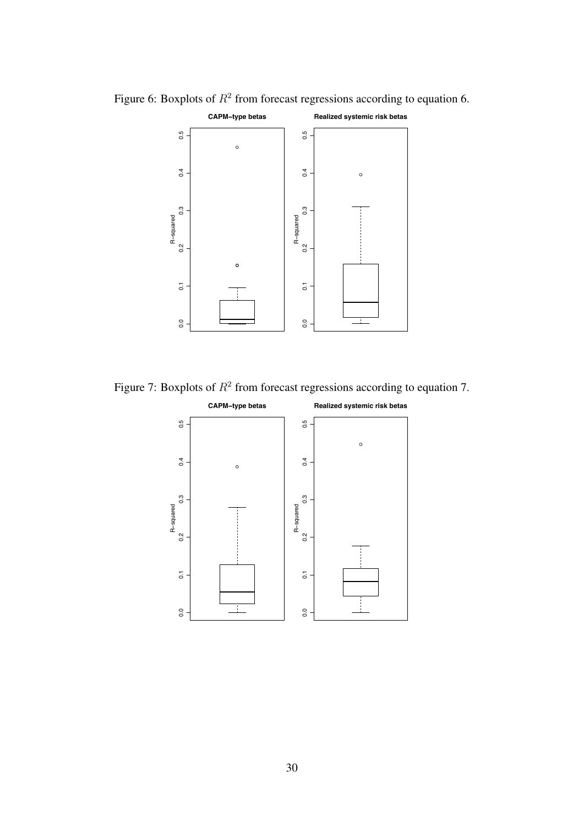

<span id="page-29-0"></span>Figure 6: Boxplots of  $R^2$  from forecast regressions according to equation [6.](#page-18-1)

<span id="page-29-1"></span>Figure 7: Boxplots of  $R^2$  from forecast regressions according to equation [7.](#page-18-2)

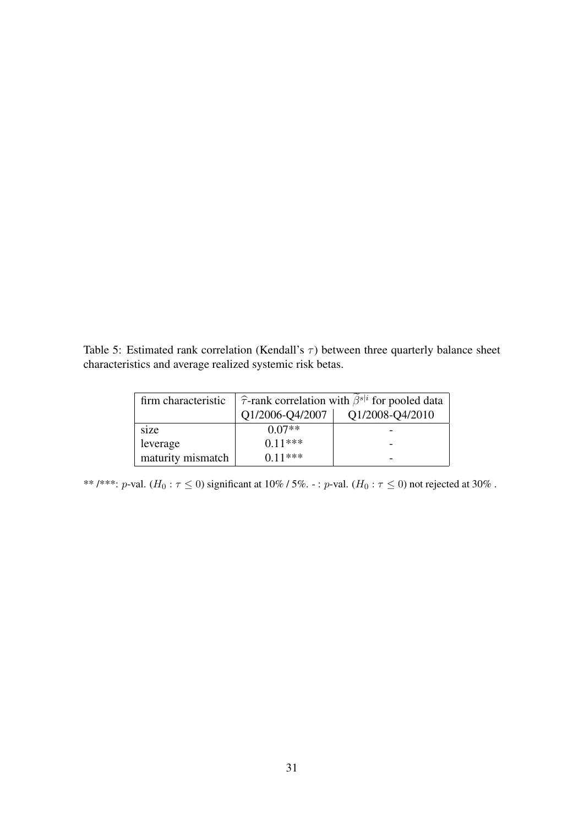<span id="page-30-0"></span>Table 5: Estimated rank correlation (Kendall's  $\tau$ ) between three quarterly balance sheet characteristics and average realized systemic risk betas.

| firm characteristic | $\hat{\tau}$ -rank correlation with $\hat{\beta}^{s i}$ for pooled data |                 |  |
|---------------------|-------------------------------------------------------------------------|-----------------|--|
|                     | Q1/2006-Q4/2007                                                         | Q1/2008-Q4/2010 |  |
| size                | $0.07**$                                                                |                 |  |
| leverage            | $0.11***$                                                               |                 |  |
| maturity mismatch   | $0.11***$                                                               |                 |  |

\*\* /\*\*\*: *p*-val.  $(H_0: \tau \le 0)$  significant at 10% / 5%. -: *p*-val.  $(H_0: \tau \le 0)$  not rejected at 30%.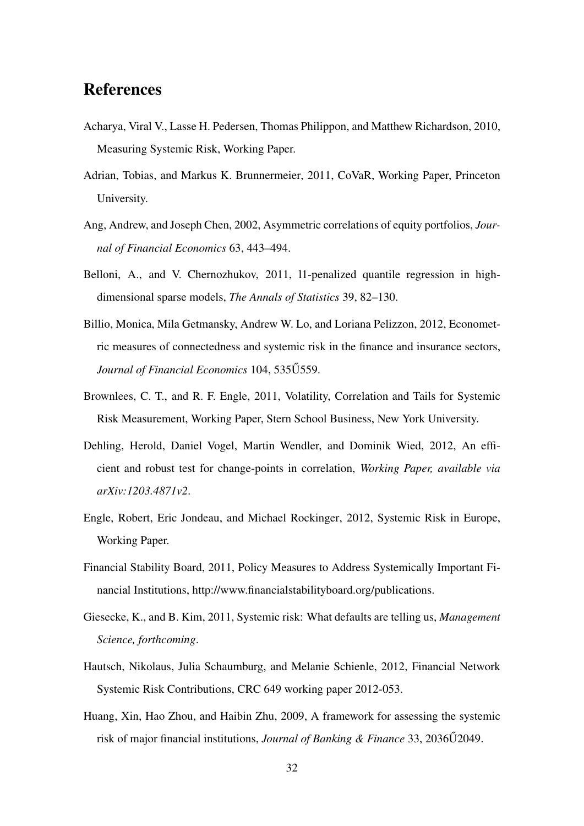### References

- Acharya, Viral V., Lasse H. Pedersen, Thomas Philippon, and Matthew Richardson, 2010, Measuring Systemic Risk, Working Paper.
- Adrian, Tobias, and Markus K. Brunnermeier, 2011, CoVaR, Working Paper, Princeton University.
- Ang, Andrew, and Joseph Chen, 2002, Asymmetric correlations of equity portfolios, *Journal of Financial Economics* 63, 443–494.
- Belloni, A., and V. Chernozhukov, 2011, l1-penalized quantile regression in highdimensional sparse models, *The Annals of Statistics* 39, 82–130.
- Billio, Monica, Mila Getmansky, Andrew W. Lo, and Loriana Pelizzon, 2012, Econometric measures of connectedness and systemic risk in the finance and insurance sectors, Journal of Financial Economics 104, 535U559.
- Brownlees, C. T., and R. F. Engle, 2011, Volatility, Correlation and Tails for Systemic Risk Measurement, Working Paper, Stern School Business, New York University.
- Dehling, Herold, Daniel Vogel, Martin Wendler, and Dominik Wied, 2012, An efficient and robust test for change-points in correlation, *Working Paper, available via arXiv:1203.4871v2*.
- Engle, Robert, Eric Jondeau, and Michael Rockinger, 2012, Systemic Risk in Europe, Working Paper.
- Financial Stability Board, 2011, Policy Measures to Address Systemically Important Financial Institutions, [http://www.financialstabilityboard.org/publications.](http://www.financialstabilityboard.org/publications)
- Giesecke, K., and B. Kim, 2011, Systemic risk: What defaults are telling us, *Management Science, forthcoming*.
- Hautsch, Nikolaus, Julia Schaumburg, and Melanie Schienle, 2012, Financial Network Systemic Risk Contributions, CRC 649 working paper 2012-053.
- Huang, Xin, Hao Zhou, and Haibin Zhu, 2009, A framework for assessing the systemic risk of major financial institutions, *Journal of Banking & Finance* 33, 2036U2049.